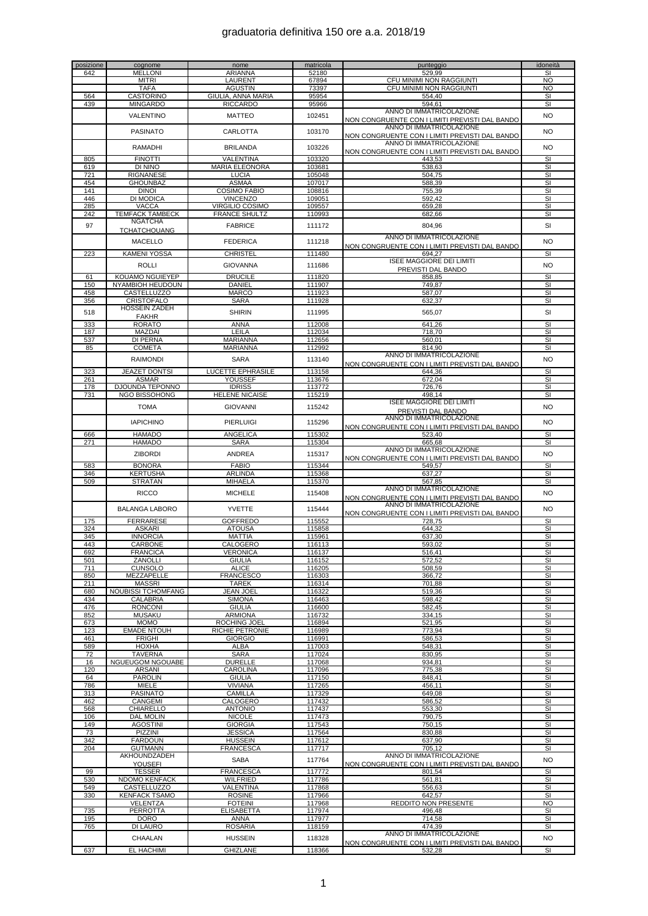| posizione<br>642 | cognome<br><b>MELLONI</b>                | nome<br>ARIANNA                        | matricola<br>52180 | punteggio<br>529,99                                                        | idoneità<br>SI                |
|------------------|------------------------------------------|----------------------------------------|--------------------|----------------------------------------------------------------------------|-------------------------------|
|                  | <b>MITRI</b>                             | LAURENT                                | 67894              | CFU MINIMI NON RAGGIUNTI                                                   | <b>NO</b>                     |
|                  | <b>TAFA</b>                              | <b>AGUSTIN</b>                         | 73397              | CFU MINIMI NON RAGGIUNTI                                                   | <b>NO</b>                     |
| 564              | <b>CASTORINO</b>                         | GIULIA, ANNA MARIA                     | 95954              | 554,40                                                                     | SI                            |
| 439              | <b>MINGARDO</b>                          | <b>RICCARDO</b>                        | 95966              | 594,61<br>ANNO DI IMMATRICOLAZIONE                                         | SI                            |
|                  | VALENTINO                                | <b>MATTEO</b>                          | 102451             | NON CONGRUENTE CON I LIMITI PREVISTI DAL BANDO                             | NO                            |
|                  | <b>PASINATO</b>                          | <b>CARLOTTA</b>                        | 103170             | ANNO DI IMMATRICOLAZIONE                                                   | <b>NO</b>                     |
|                  |                                          |                                        |                    | NON CONGRUENTE CON I LIMITI PREVISTI DAL BANDO<br>ANNO DI IMMATRICOLAZIONE |                               |
|                  | <b>RAMADHI</b>                           | <b>BRILANDA</b>                        | 103226             | NON CONGRUENTE CON I LIMITI PREVISTI DAL BANDO                             | <b>NO</b>                     |
| 805              | <b>FINOTTI</b>                           | VALENTINA                              | 103320             | 443,53                                                                     | SI                            |
| 619              | DI NINO                                  | <b>MARIA ELEONORA</b>                  | 103681             | 538,63                                                                     | SI                            |
| 721<br>454       | <b>RIGNANESE</b><br><b>GHOUNBAZ</b>      | <b>LUCIA</b><br><b>ASMAA</b>           | 105048<br>107017   | 504,75<br>588.39                                                           | SI<br>SI                      |
| 141              | <b>DINOI</b>                             | <b>COSIMO FABIO</b>                    | 108816             | 755,39                                                                     | SI                            |
| 446              | DI MODICA                                | <b>VINCENZO</b>                        | 109051             | 592,42                                                                     | SI                            |
| 285              | <b>VACCA</b>                             | <b>VIRGILIO COSIMO</b>                 | 109557             | 659,28                                                                     | SI                            |
| 242              | <b>TEMFACK TAMBECK</b><br><b>NGATCHA</b> | <b>FRANCE SHULTZ</b>                   | 110993             | 682,66                                                                     | SI                            |
| 97               | <b>TCHATCHOUANG</b>                      | <b>FABRICE</b>                         | 111172             | 804,96                                                                     | SI                            |
|                  |                                          | <b>FEDERICA</b>                        |                    | ANNO DI IMMATRICOLAZIONE                                                   |                               |
|                  | <b>MACELLO</b>                           |                                        | 111218             | NON CONGRUENTE CON I LIMITI PREVISTI DAL BANDO                             | <b>NO</b>                     |
| 223              | <b>KAMENI YOSSA</b>                      | <b>CHRISTEL</b>                        | 111480             | 694,27<br><b>ISEE MAGGIORE DEI LIMITI</b>                                  | SI                            |
|                  | <b>ROLLI</b>                             | <b>GIOVANNA</b>                        | 111686             | PREVISTI DAL BANDO                                                         | <b>NO</b>                     |
| 61               | <b>KOUAMO NGUIEYEP</b>                   | <b>DRUCILE</b>                         | 111820             | 858,85                                                                     | SI                            |
| 150              | NYAMBIOH HEUDOUN                         | DANIEL                                 | 111907             | 749,87                                                                     | SI                            |
| 458<br>356       | <b>CASTELLUZZO</b><br><b>CRISTOFALO</b>  | <b>MARCO</b><br><b>SARA</b>            | 111923<br>111928   | 587.07<br>632,37                                                           | SI<br>SI                      |
|                  | <b>HOSSEIN ZADEH</b>                     |                                        |                    |                                                                            |                               |
| 518              | <b>FAKHR</b>                             | <b>SHIRIN</b>                          | 111995             | 565,07                                                                     | SI                            |
| 333              | <b>RORATO</b>                            | ANNA                                   | 112008             | 641,26                                                                     | SI                            |
| 187<br>537       | MAZDAI<br>DI PERNA                       | LEILA<br>MARIANNA                      | 112034<br>112656   | 718,70<br>560,01                                                           | SI                            |
| 85               | <b>COMETA</b>                            | <b>MARIANNA</b>                        | 112992             | 814,90                                                                     | SI<br>SI                      |
|                  | <b>RAIMONDI</b>                          | <b>SARA</b>                            | 113140             | ANNO DI IMMATRICOLAZIONE                                                   | <b>NO</b>                     |
|                  |                                          |                                        |                    | <u>NON CONGRUENTE CON I LIMITI PREVISTI DAL BANDO</u>                      |                               |
| 323<br>261       | <b>JEAZET DONTSI</b><br><b>ASMAR</b>     | <b>LUCETTE EPHRASILE</b><br>YOUSSEF    | 113158<br>113676   | 644,36<br>672,04                                                           | SI<br>SI                      |
| 178              | <b>DJOUNDA TEPONNO</b>                   | <b>IDRISS</b>                          | 113772             | 726,76                                                                     | SI                            |
| 731              | NGO BISSOHONG                            | <b>HELENE NICAISE</b>                  | 115219             | 498,14                                                                     | SI                            |
|                  | <b>TOMA</b>                              | <b>GIOVANNI</b>                        | 115242             | <b>ISEE MAGGIORE DEI LIMITI</b>                                            | NO                            |
|                  |                                          |                                        |                    | PREVISTI DAL BANDO<br>ANNO DI IMMATRICOLAZIONE                             |                               |
|                  | <b>IAPICHINO</b>                         | <b>PIERLUIGI</b>                       | 115296             | NON CONGRUENTE CON I LIMITI PREVISTI DAL BANDO                             | <b>NO</b>                     |
| 666              | <b>HAMADO</b>                            | <b>ANGELICA</b>                        | 115302             | 523,40                                                                     | SI                            |
| 271              | <b>HAMADO</b>                            | <b>SARA</b>                            | 115304             | 665,68                                                                     | $\overline{\mathbf{s}}$       |
|                  | <b>ZIBORDI</b>                           | <b>ANDREA</b>                          | 115317             | ANNO DI IMMATRICOLAZIONE<br>NON CONGRUENTE CON I LIMITI PREVISTI DAL BANDO | <b>NO</b>                     |
| 583              | <b>BONORA</b>                            | <b>FABIO</b>                           | 115344             | 549,57                                                                     | SI                            |
| 346              | <b>KERTUSHA</b>                          | ARLINDA                                | 115368             | 637,27                                                                     | S <sub>1</sub>                |
| 509              | <b>STRATAN</b>                           | <b>MIHAELA</b>                         | 115370             | 567,85<br>ANNO DI IMMATRICOLAZIONE                                         | SI                            |
|                  | <b>RICCO</b>                             | <b>MICHELE</b>                         | 115408             | NON CONGRUENTE CON I LIMITI PREVISTI DAL BANDO                             | NO                            |
|                  | <b>BALANGA LABORO</b>                    | <b>YVETTE</b>                          | 115444             | ANNO DI IMMATRICOLAZIONE                                                   | <b>NO</b>                     |
|                  |                                          |                                        |                    | NON CONGRUENTE CON I LIMITI PREVISTI DAL BANDO                             |                               |
| 175<br>324       | <b>FERRARESE</b><br><b>ASKARI</b>        | <b>GOFFREDO</b><br><b>ATOUSA</b>       | 115552<br>115858   | 728,75<br>644,32                                                           | SI<br>SI                      |
| 345              | <b>INNORCIA</b>                          | <b>MATTIA</b>                          | 115961             | 637,30                                                                     | SI                            |
| 443              | CARBONE                                  | CALOGERO                               | 116113             | 593,02                                                                     | SI                            |
| 692<br>501       | <b>FRANCICA</b>                          | VERONICA                               | 116137             | 516,41                                                                     | SI<br>SI                      |
| 711              | ZANOLLI<br><b>CUNSOLO</b>                | <b>GIULIA</b><br><b>ALICE</b>          | 116152<br>116205   | 572,52<br>508,59                                                           | SI                            |
| 850              | MEZZAPELLE                               | <b>FRANCESCO</b>                       | 116303             | 366,72                                                                     | SI                            |
| 211              | <b>MASSRI</b>                            | <b>TAREK</b>                           | 116314             | 701,88                                                                     | SI                            |
| 680<br>434       | NOUBISSI TCHOMFANG<br>CALABRIA           | <b>JEAN JOEL</b><br>SIMONA             | 116322<br>116463   | 519,36<br>598,42                                                           | SI<br>SI                      |
| 476              | <b>RONCONI</b>                           | <b>GIULIA</b>                          | 116600             | 582,45                                                                     | SI                            |
| 852              | <b>MUSAKU</b>                            | <b>ARMIONA</b>                         | 116732             | 334,15                                                                     | SI                            |
| 673<br>123       | <b>MOMO</b><br><b>EMADE NTOUH</b>        | ROCHING JOEL<br><b>RICHIE PETRONIE</b> | 116894<br>116989   | 521.95<br>773,94                                                           | SI<br>SI                      |
| 461              | <b>FRIGHI</b>                            | <b>GIORGIO</b>                         | 116991             | 586,53                                                                     | SI                            |
| 589              | <b>HOXHA</b>                             | ALBA                                   | 117003             | 548,31                                                                     | SI                            |
| 72               | TAVERNA                                  | <b>SARA</b>                            | 117024             | 830,95                                                                     | SI                            |
| 16<br>120        | <b>NGUEUGOM NGOUABE</b><br>ARSANI        | <b>DURELLE</b><br>CAROLINA             | 117068<br>117096   | 934,81<br>775,38                                                           | SI<br>SI                      |
| 64               | <b>PAROLIN</b>                           | <b>GIULIA</b>                          | 117150             | 848,41                                                                     | SI                            |
| 786              | <b>MIELE</b>                             | <b>VIVIANA</b>                         | 117265             | 456,11                                                                     | SI                            |
| 313<br>462       | <b>PASINATO</b><br>CANGEMI               | CAMILLA<br>CALOGERO                    | 117329<br>117432   | 649,08<br>586,52                                                           | <b>SI</b><br>SI               |
| 568              | CHIARELLO                                | <b>ANTONIO</b>                         | 117437             | 553,30                                                                     | SI                            |
| 106              | <b>DAL MOLIN</b>                         | <b>NICOLE</b>                          | 117473             | 790,75                                                                     | SI                            |
| 149              | <b>AGOSTINI</b>                          | <b>GIORGIA</b>                         | 117543             | 750,15                                                                     | SI                            |
| 73<br>342        | PIZZINI<br><b>FARDOUN</b>                | <b>JESSICA</b><br><b>HUSSEIN</b>       | 117564<br>117612   | 830,88<br>637,90                                                           | SI<br>SI                      |
| 204              | <b>GUTMANN</b>                           | <b>FRANCESCA</b>                       | 117717             | 705,12                                                                     | SI                            |
|                  | AKHOUNDZADEH                             | <b>SABA</b>                            | 117764             | ANNO DI IMMATRICOLAZIONE                                                   | NO                            |
|                  | <b>YOUSEFI</b>                           |                                        |                    | NON CONGRUENTE CON I LIMITI PREVISTI DAL BANDO                             |                               |
| 99<br>530        | <b>TESSER</b><br><b>NDOMO KENFACK</b>    | <b>FRANCESCA</b><br><b>WILFRIED</b>    | 117772<br>117786   | 801,54<br>561,81                                                           | $\overline{\mathbf{s}}$<br>SI |
| 549              | CASTELLUZZO                              | VALENTINA                              | 117868             | 556,63                                                                     | SI                            |
| 330              | <b>KENFACK TSAMO</b>                     | <b>ROSINE</b>                          | 117966             | 642,57                                                                     | SI                            |
|                  | VELENTZA                                 | <b>FOTEINI</b>                         | 117968             | REDDITO NON PRESENTE                                                       | NO                            |
| 735<br>195       | <b>PERROTTA</b><br>DORO                  | <b>ELISABETTA</b><br>ANNA              | 117974<br>117977   | 496,48<br>714,58                                                           | SI<br>SI                      |
| 765              | DI LAURO                                 | <b>ROSARIA</b>                         | 118159             | 474,39                                                                     | SI                            |
|                  | CHAALAN                                  | <b>HUSSEIN</b>                         | 118328             | ANNO DI IMMATRICOLAZIONE                                                   | NO                            |
|                  |                                          |                                        |                    | NON CONGRUENTE CON I LIMITI PREVISTI DAL BANDO                             |                               |
| 637              | EL HACHIMI                               | <b>GHIZLANE</b>                        | 118366             | 532,28                                                                     | <b>SI</b>                     |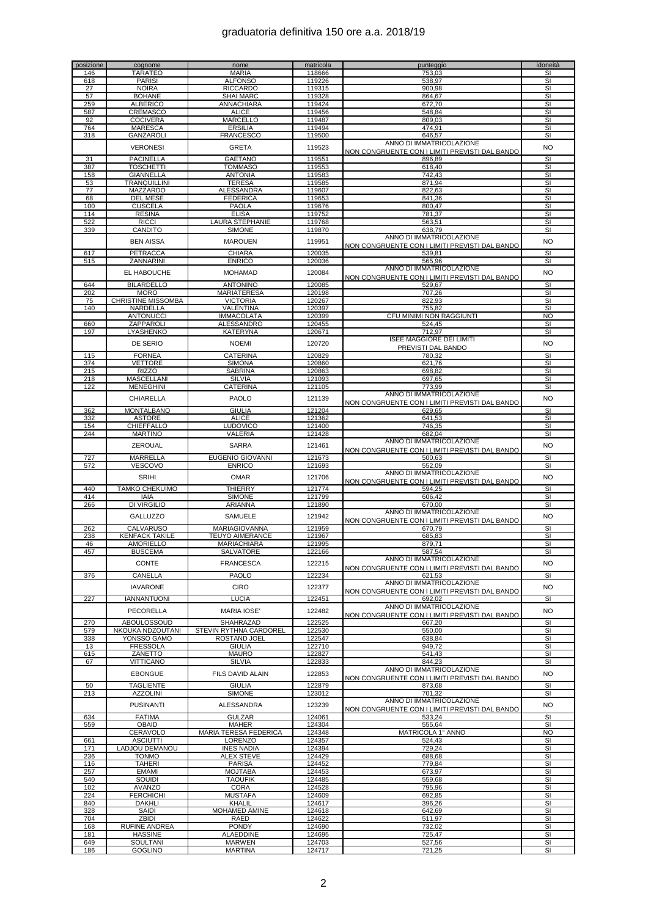| posizione  | cognome                              | nome                                   | matricola        | punteggio                                                | idoneità                |
|------------|--------------------------------------|----------------------------------------|------------------|----------------------------------------------------------|-------------------------|
| 146<br>618 | TARATEO<br><b>PARISI</b>             | <b>MARIA</b><br><b>ALFONSO</b>         | 118666<br>119226 | 753,03<br>538,97                                         | SI<br>SI                |
| 27         | <b>NOIRA</b>                         | <b>RICCARDO</b>                        | 119315           | 900,98                                                   | SI                      |
| 57         | <b>BOHANE</b>                        | <b>SHAI MARC</b>                       | 119328           | 864,67                                                   | SI                      |
| 259        | <b>ALBERICO</b>                      | <u>ANNACHIARA</u>                      | 119424           | 672,70                                                   | SI                      |
| 587        | CREMASCO                             | <b>ALICE</b>                           | 119456           | 548,84                                                   | SI                      |
| 92<br>764  | <b>COCIVERA</b><br><b>MARESCA</b>    | <b>MARCELLO</b><br><b>ERSILIA</b>      | 119487<br>119494 | 809,03<br>474.91                                         | SI<br>SI                |
| 318        | GANZAROLI                            | <b>FRANCESCO</b>                       | 119500           | 646,57                                                   | SI                      |
|            | <b>VERONESI</b>                      | <b>GRETA</b>                           | 119523           | ANNO DI IMMATRICOLAZIONE                                 | <b>NO</b>               |
|            |                                      |                                        |                  | <u>NON CONGRUENTE CON I LIMITI PREVISTI DAL BANDO</u>    |                         |
| 31         | <b>PACINELLA</b>                     | <b>GAETANO</b>                         | 119551           | 896,89                                                   | SI                      |
| 387<br>158 | <b>TOSCHETTI</b><br><b>GIANNELLA</b> | <b>TOMMASO</b><br><b>ANTONIA</b>       | 119553<br>119583 | 618,40<br>742,43                                         | SI<br>SI                |
| 53         | TRANQUILLINI                         | <b>TERESA</b>                          | 119585           | 871,94                                                   | SI                      |
| 77         | MAZZARDO                             | ALESSANDRA                             | 119607           | 822,63                                                   | SI                      |
| 68         | DEL MESE                             | <b>FEDERICA</b>                        | 119653           | 841,36                                                   | SI                      |
| 100        | <b>CUSCELA</b>                       | <b>PAOLA</b>                           | 119676           | 800,47                                                   | SI                      |
| 114<br>522 | <b>RESINA</b><br><b>RICCI</b>        | <b>ELISA</b><br><b>LAURA STEPHANIE</b> | 119752<br>119768 | 781,37<br>563,51                                         | <b>SI</b><br>SI         |
| 339        | CANDITO                              | <b>SIMONE</b>                          | 119870           | 638,79                                                   | SI                      |
|            | <b>BEN AISSA</b>                     | <b>MAROUEN</b>                         | 119951           | ANNO DI IMMATRICOLAZIONE                                 | <b>NO</b>               |
|            |                                      |                                        |                  | NON CONGRUENTE CON I LIMITI PREVISTI DAL BANDO           |                         |
| 617        | <b>PETRACCA</b>                      | <b>CHIARA</b>                          | 120035           | 539,81                                                   | SI                      |
| 515        | ZANNARINI                            | <b>ENRICO</b>                          | 120036           | 565,96<br>ANNO DI IMMATRICOLAZIONE                       | SI                      |
|            | EL HABOUCHE                          | <b>MOHAMAD</b>                         | 120084           | NON CONGRUENTE CON I LIMITI PREVISTI DAL BANDO           | <b>NO</b>               |
| 644        | <b>BILARDELLO</b>                    | <b>ANTONINO</b>                        | 120085           | 529,67                                                   | SI                      |
| 202        | <b>MORO</b>                          | <b>MARIATERESA</b>                     | 120198           | 707,26                                                   | SI                      |
| 75         | <b>CHRISTINE MISSOMBA</b>            | <b>VICTORIA</b>                        | 120267           | 822.93                                                   | <b>SI</b>               |
| 140        | NARDELLA<br><b>ANTONUCCI</b>         | VALENTINA<br><b>IMMACOLATA</b>         | 120397<br>120399 | 755,82<br>CFU MINIMI NON RAGGIUNTI                       | SI<br>NO                |
| 660        | ZAPPAROLI                            | ALESSANDRO                             | 120455           | 524,45                                                   | SI                      |
| 197        | <b>LYASHENKO</b>                     | <b>KATERYNA</b>                        | 120671           | 712,97                                                   | SI                      |
|            | DE SERIO                             | <b>NOEMI</b>                           | 120720           | <b>ISEE MAGGIORE DEI LIMITI</b>                          | <b>NO</b>               |
|            | <b>FORNEA</b>                        | CATERINA                               | 120829           | <b>PREVISTI DAL BANDO</b>                                | SI                      |
| 115<br>374 | <b>VETTORE</b>                       | <b>SIMONA</b>                          | 120860           | 780,32<br>621,76                                         | SI                      |
| 215        | <b>RIZZO</b>                         | <b>SABRINA</b>                         | 120863           | 698,82                                                   | SI                      |
| 218        | MASCELLANI                           | <b>SILVIA</b>                          | 121093           | 697,65                                                   | SI                      |
| 122        | <b>MENEGHINI</b>                     | CATERINA                               | 121105           | 773.99                                                   | SI                      |
|            | CHIARELLA                            | <b>PAOLO</b>                           | 121139           | ANNO DI IMMATRICOLAZIONE                                 | <b>NO</b>               |
| 362        | <b>MONTALBANO</b>                    | <b>GIULIA</b>                          | 121204           | NON CONGRUENTE CON I LIMITI PREVISTI DAL BANDO<br>629,65 | SI                      |
| 332        | <b>ASTORE</b>                        | <b>ALICE</b>                           | 121362           | 641,53                                                   | SI                      |
| 154        | CHIEFFALLO                           | <b>LUDOVICO</b>                        | 121400           | 746,35                                                   | SI                      |
| 244        | <b>MARTINO</b>                       | VALERIA                                | 121428           | 682,04                                                   | SI                      |
|            | ZEROUAL                              | <b>SARRA</b>                           | 121461           | ANNO DI IMMATRICOLAZIONE                                 | <b>NO</b>               |
| 727        | <b>MARRELLA</b>                      | EUGENIO GIOVANNI                       | 121673           | NON CONGRUENTE CON I LIMITI PREVISTI DAL BANDO<br>500,63 | SI                      |
| 572        | <b>VESCOVO</b>                       | <b>ENRICO</b>                          | 121693           | 552,09                                                   | SI                      |
|            |                                      |                                        |                  | ANNO DI IMMATRICOLAZIONE                                 |                         |
|            | <b>SRIHI</b>                         | <b>OMAR</b>                            | 121706           | NON CONGRUENTE CON I LIMITI PREVISTI DAL BANDO           | <b>NO</b>               |
| 440        | <b>TAMKO CHEKUIMO</b>                | THIERRY                                | 121774           | 594,25                                                   | SI                      |
| 414<br>266 | IAIA<br>DI VIRGILIO                  | <b>SIMONE</b><br>ARIANNA               | 121799<br>121890 | 606,42<br>670,00                                         | SI<br>SI                |
|            |                                      |                                        |                  | ANNO DI IMMATRICOLAZIONE                                 |                         |
|            | <b>GALLUZZO</b>                      | SAMUELE                                | 121942           | <u>NON CONGRUENTE CON I LIMITI PREVISTI DAL BANDO</u>    | <b>NO</b>               |
| 262        | CALVARUSO                            | MARIAGIOVANNA                          | 121959           | 670,79                                                   | SI                      |
| 238        | <b>KENFACK TAKILE</b>                | <b>TEUYO AIMERANCE</b>                 | 121967           | 685.83                                                   | SI                      |
| 46         | <b>AMORIELLO</b>                     | <b>MARIACHIARA</b>                     | 121995           | 879,71<br>587.54                                         | SI                      |
| 457        | <b>BUSCEMA</b>                       | <u>SALVATORE</u>                       | 122166           | ANNO DI IMMATRICOLAZIONE                                 | SI                      |
|            | CONTE                                | <b>FRANCESCA</b>                       | 122215           | NON CONGRUENTE CON I LIMITI PREVISTI DAL BANDO           | <b>NO</b>               |
| 376        | CANELLA                              | PAOLO                                  | 122234           | 621,53                                                   | SI                      |
|            | <b>IAVARONE</b>                      | <b>CIRO</b>                            | 122377           | ANNO DI IMMATRICOLAZIONE                                 | <b>NO</b>               |
|            |                                      |                                        |                  | NON CONGRUENTE CON I LIMITI PREVISTI DAL BANDO           |                         |
| 227        | <b>IANNANTUONI</b>                   | <b>LUCIA</b>                           | 122451           | 692,02<br>ANNO DI IMMATRICOLAZIONE                       | SI                      |
|            | PECORELLA                            | MARIA IOSE'                            | 122482           | NON CONGRUENTE CON I LIMITI PREVISTI DAL BANDO           | <b>NO</b>               |
| 270        | <b>ABOULOSSOUD</b>                   | <b>SHAHRAZAD</b>                       | 122525           | 667,20                                                   | SI                      |
| 579        | NKOUKA NDZOUTANI                     | STEVIN RYTHNA CARDOREL                 | 122530           | 550,00                                                   | SI                      |
| 338        | YONSSO GAMO                          | ROSTAND JOEL<br><b>GIULIA</b>          | 122547           | 638,84                                                   | SI<br>SI                |
| 13<br>615  | <b>FRESSOLA</b><br>ZANETTO           | <b>MAURO</b>                           | 122710<br>122827 | 949,72<br>541,43                                         | SI                      |
| 67         | <b>VITTICANO</b>                     | <b>SILVIA</b>                          | 122833           | 844,23                                                   | SI                      |
|            | <b>EBONGUE</b>                       | FILS DAVID ALAIN                       | 122853           | ANNO DI IMMATRICOLAZIONE                                 | <b>NO</b>               |
|            |                                      |                                        |                  | NON CONGRUENTE CON I LIMITI PREVISTI DAL BANDO           |                         |
| 50         | <b>TAGLIENTE</b>                     | <b>GIULIA</b>                          | 122879           | 873,68                                                   | <b>SI</b>               |
| 213        | <b>AZZOLINI</b>                      | <b>SIMONE</b>                          | 123012           | 701,32<br>ANNO DI IMMATRICOLAZIONE                       | $\overline{\mathbf{s}}$ |
|            | <b>PUSINANTI</b>                     | ALESSANDRA                             | 123239           | NON CONGRUENTE CON I LIMITI PREVISTI DAL BANDO           | <b>NO</b>               |
| 634        | <b>FATIMA</b>                        | <b>GULZAR</b>                          | 124061           | 533,24                                                   | SI                      |
| 559        | OBAID                                | MAHER                                  | 124304           | 555,64                                                   | SI                      |
|            | CERAVOLO                             | MARIA TERESA FEDERICA                  | 124348           | MATRICOLA 1° ANNO                                        | <b>NO</b>               |
| 661<br>171 | <b>ASCIUTTI</b>                      | LORENZO<br><b>INES NADIA</b>           | 124357<br>124394 | 524,43<br>729,24                                         | SI<br>SI                |
| 236        | LADJOU DEMANOU<br>TONMO              | <b>ALEX STEVE</b>                      | 124429           | 688,68                                                   | SI                      |
| 116        | TAHERI                               | <b>PARISA</b>                          | 124452           | 779,84                                                   | SI                      |
| 257        | <b>EMAMI</b>                         | <b>MOJTABA</b>                         | 124453           | 673,97                                                   | SI                      |
| 540        | SOUIDI                               | <b>TAOUFIK</b>                         | 124485           | 559,68                                                   | SI                      |
| 102        | <b>AVANZO</b>                        | <b>CORA</b>                            | 124528           | 795,96                                                   | SI                      |
| 224<br>840 | FERCHICHI<br>DAKHLI                  | <b>MUSTAFA</b><br>KHALIL               | 124609<br>124617 | 692,85<br>396,26                                         | SI<br>SI                |
| 328        | SAIDI                                | MOHAMED AMINE                          | 124618           | 642,69                                                   | SI                      |
| 704        | ZBIDI                                | RAED                                   | 124622           | 511,97                                                   | SI                      |
| 168        | RUFINE ANDREA                        | <b>PONDY</b>                           | 124690           | 732,02                                                   | SI                      |
| 181        | <b>HASSINE</b>                       | ALAEDDINE                              | 124695           | 725,47                                                   | SI                      |
| 649<br>186 | SOULTANI<br><b>GOGLINO</b>           | MARWEN<br><b>MARTINA</b>               | 124703<br>124717 | 527,56<br>721,25                                         | SI<br>SI                |
|            |                                      |                                        |                  |                                                          |                         |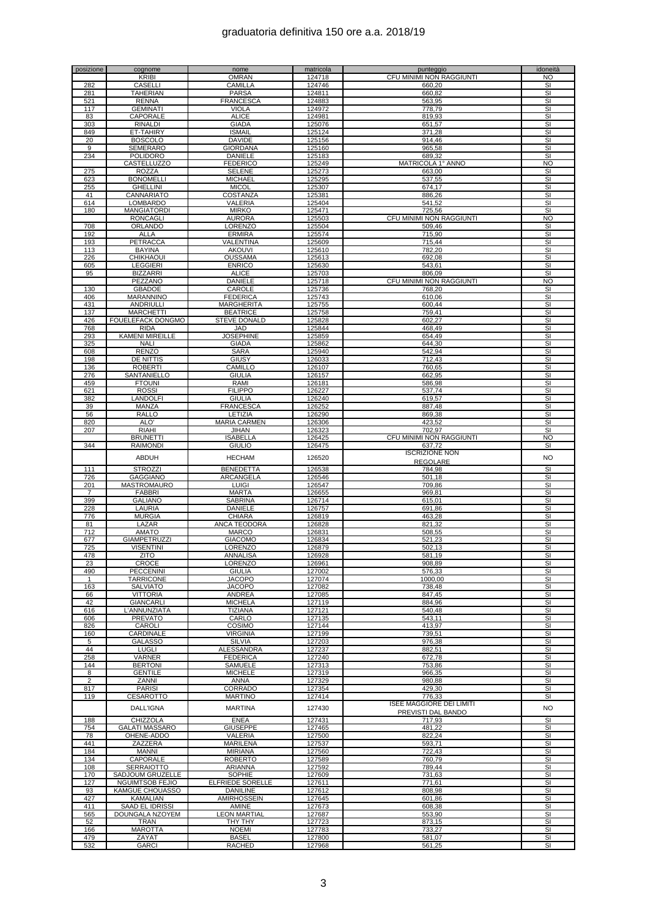| posizione      | cognome                        | nome                             | matricola        | punteggio                       | idoneità                |
|----------------|--------------------------------|----------------------------------|------------------|---------------------------------|-------------------------|
|                | KRIBI                          | <b>OMRAN</b>                     | 124718           | CFU MINIMI NON RAGGIUNTI        | NO.                     |
| 282            | <b>CASELLI</b>                 | CAMILLA                          | 124746           | 660,20                          | SI                      |
| 281            | TAHERIAN                       | <b>PARSA</b>                     | 124811           | 660,82                          | SI                      |
| 521            | <b>RENNA</b>                   | <b>FRANCESCA</b>                 | 124883           | 563,95                          | SI                      |
| 117            | <b>GEMINATI</b>                | <b>VIOLA</b>                     | 124972           | 778,79                          | SI                      |
| 83<br>303      | CAPORALE<br><b>RINALDI</b>     | <b>ALICE</b><br><b>GIADA</b>     | 124981<br>125076 | 819,93                          | SI<br>SI                |
| 849            | ET-TAHIRY                      | <b>ISMAIL</b>                    | 125124           | 651,57                          | SI                      |
|                |                                |                                  | 125156           | 371,28                          | SI                      |
| 20<br>9        | <b>BOSCOLO</b>                 | <b>DAVIDE</b><br><b>GIORDANA</b> |                  | 914,46                          | SI                      |
| 234            | SEMERARO                       |                                  | 125160           | 965,58<br>689,32                | SI                      |
|                | <b>POLIDORO</b><br>CASTELLUZZO | DANIELE<br><b>FEDERICO</b>       | 125183<br>125249 | MATRICOLA 1° ANNO               | ΝO                      |
| 275            | <b>ROZZA</b>                   | <b>SELENE</b>                    | 125273           | 663,00                          | SI                      |
| 623            | <b>BONOMELLI</b>               | <b>MICHAEL</b>                   | 125295           | 537,55                          | SI                      |
| 255            | <b>GHELLINI</b>                | <b>MICOL</b>                     | 125307           | 674,17                          | SI                      |
| 41             | CANNARIATO                     | COSTANZA                         | 125381           | 886.26                          | SI                      |
| 614            | <b>LOMBARDO</b>                | VALERIA                          | 125404           | 541,52                          | SI                      |
| 180            | <b>MANGIATORDI</b>             | <b>MIRKO</b>                     | 125471           | 725,56                          | SI                      |
|                | <b>RONCAGLI</b>                | <b>AURORA</b>                    | 125503           | CFU MINIMI NON RAGGIUNTI        | <b>NO</b>               |
| 708            | ORLANDO                        | LORENZO                          | 125504           | 509,46                          | SI                      |
| 192            | ALLA                           | <b>ERMIRA</b>                    | 125574           | 715,90                          | SI                      |
| 193            | PETRACCA                       | VALENTINA                        | 125609           | 715,44                          | SI                      |
| 113            | <b>BAYINA</b>                  | <b>AKOUVI</b>                    | 125610           | 782,20                          | SI                      |
| 226            | <b>CHIKHAOUI</b>               | <b>OUSSAMA</b>                   | 125613           | 692,08                          | SI                      |
| 605            | <b>LEGGIERI</b>                | <b>ENRICO</b>                    | 125630           | 543,61                          | SI                      |
| 95             | <b>BIZZARRI</b>                | ALICE                            | 125703           | 806,09                          | SI                      |
|                | PEZZANO                        | <b>DANIELE</b>                   | 125718           | CFU MINIMI NON RAGGIUNTI        | ΝO                      |
| 130            | <b>GBADOE</b>                  | CAROLE                           | 125736           | 768,20                          | SI                      |
| 406            | MARANNINO                      | <b>FEDERICA</b>                  | 125743           | 610,06                          | SI                      |
| 431            | ANDRIULLI                      | <b>MARGHERITA</b>                | 125755           | 600,44                          | SI                      |
| 137            | <b>MARCHETTI</b>               | <b>BEATRICE</b>                  | 125758           | 759,41                          | SI                      |
| 426            | FOUELEFACK DONGMO              | <b>STEVE DONALD</b>              | 125828           | 602,27                          | SI                      |
| 768            | <b>RIDA</b>                    | JAD                              | 125844           | 468,49                          | SI                      |
| 293            | <b>KAMENI MIREILLE</b>         | <b>JOSEPHINE</b>                 | 125859           | 654,49                          | SI                      |
| 325            | <b>NALI</b>                    | <b>GIADA</b>                     | 125862           | 644,30                          | SI                      |
| 608            | <b>RENZO</b>                   | <b>SARA</b>                      | 125940           | 542,94                          | SI                      |
| 198            | DE NITTIS                      | <b>GIUSY</b>                     | 126033           | 712,43                          | SI                      |
| 136            | <b>ROBERTI</b>                 | CAMILLO<br><b>GIULIA</b>         | 126107           | 760,65                          | SI                      |
| 276            | SANTANIELLO                    |                                  | 126157           | 662,95                          | SI                      |
| 459            | <b>FTOUNI</b>                  | RAMI                             | 126181           | 586,98                          | SI                      |
| 621<br>382     | <b>ROSSI</b><br>LANDOLFI       | <b>FILIPPO</b><br><b>GIULIA</b>  | 126227<br>126240 | 537,74                          | SI<br>SI                |
| 39             | MANZA                          | <b>FRANCESCA</b>                 | 126252           | 619,57<br>887,48                | SI                      |
| 56             | RALLO                          | LETIZIA                          | 126290           | 869,38                          | SI                      |
| 820            | ALO'                           | <b>MARIA CARMEN</b>              | 126306           | 423,52                          | SI                      |
| 207            | RIAHI                          | JIHAN                            | 126323           | 702.97                          | SI                      |
|                | <b>BRUNETTI</b>                | <b>ISABELLA</b>                  | 126425           | CFU MINIMI NON RAGGIUNTI        | NO                      |
| 344            | <b>RAIMONDI</b>                | <b>GIULIO</b>                    | 126475           | 637,72                          | SI                      |
|                |                                |                                  |                  | <b>ISCRIZIONE NON</b>           |                         |
|                | <b>ABDUH</b>                   | <b>HECHAM</b>                    | 126520           | <b>REGOLARE</b>                 | <b>NO</b>               |
| 111            | <b>STROZZI</b>                 | <b>BENEDETTA</b>                 | 126538           | 784,98                          | SI                      |
| 726            | <b>GAGGIANO</b>                | ARCANGELA                        | 126546           | 501,18                          | SI                      |
| 201            | MASTROMAURO                    | <b>LUIGI</b>                     | 126547           | 709,86                          | SI                      |
| $\overline{7}$ | <b>FABBRI</b>                  | <b>MARTA</b>                     | 126655           | 969,81                          | SI                      |
| 399            | <b>GALIANO</b>                 | SABRINA                          | 126714           | 615,01                          | SI                      |
| 228            | LAURIA                         | DANIELE                          | 126757           | 691,86                          | SI                      |
| 776            | <b>MURGIA</b>                  | <b>CHIARA</b>                    | 126819           | 463,28                          | <b>SI</b>               |
| 81             | LAZAR                          | ANCA TEODORA                     | 126828           | 821,32                          | SI                      |
| 712            | <b>AMATO</b>                   | <b>MARCO</b>                     | 126831           | 508,55                          | SI                      |
| 677            | GIAMPETRUZZI                   | <b>GIACOMO</b>                   | 126834           | 521,23                          | SI                      |
| 725            | <b>VISENTINI</b>               | <b>LORENZO</b>                   | 126879           | 502,13                          | SI                      |
| 478            | ZIIU                           | ANNALISA                         | 126928           | 581,19                          | SI                      |
| 23             | CROCE                          | <b>LORENZO</b>                   | 126961           | 908,89                          | SI                      |
| 490            | PECCENINI                      | <b>GIULIA</b>                    | 127002           | 576,33                          | SI                      |
| 1              | <b>TARRICONE</b>               | <b>JACOPO</b>                    | 127074           | 1000,00                         | SI                      |
| 163            | <b>SALVIATO</b>                | <b>JACOPO</b>                    | 127082           | 738,48                          | SI                      |
| 66             | VITTORIA                       | <b>ANDREA</b>                    | 127085           | 847,45                          | <b>SI</b>               |
| 42             | GIANCARLI                      | <b>MICHELA</b>                   | 127119           | 884,96                          | SI                      |
| 616            | L'ANNUNZIATA                   | TIZIANA                          | 127121           | 540,48                          | SI                      |
| 606<br>826     | <b>PREVATO</b><br>CAROLI       | CARLO<br>COSIMO                  | 127135<br>127144 | 543,11<br>413,97                | SI<br>SI                |
| 160            | CARDINALE                      | <b>VIRGINIA</b>                  | 127199           | 739,51                          | <b>SI</b>               |
| 5              | <b>GALASSO</b>                 | <b>SILVIA</b>                    | 127203           | 976,38                          | SI                      |
| 44             | <b>LUGLI</b>                   | ALESSANDRA                       | 127237           | 882,51                          | SI                      |
| 258            | <b>VARNER</b>                  | <b>FEDERICA</b>                  | 127240           | 672,78                          | SI                      |
| 144            | <b>BERTONI</b>                 | <b>SAMUELE</b>                   | 127313           | 753,86                          | SI                      |
| 8              | <b>GENTILE</b>                 | <b>MICHELE</b>                   | 127319           | 966,35                          | SI                      |
| $\overline{2}$ | ZANNI                          | ANNA                             | 127329           | 980,88                          | SI                      |
| 817            | <b>PARISI</b>                  | CORRADO                          | 127354           | 429,30                          | SI                      |
| 119            | CESAROTTO                      | <b>MARTINO</b>                   | 127414           | 776,33                          | SI                      |
|                |                                |                                  |                  | <b>ISEE MAGGIORE DEI LIMITI</b> |                         |
|                | <b>DALL'IGNA</b>               | <b>MARTINA</b>                   | 127430           | PREVISTI DAL BANDO              | NO.                     |
| 188            | <b>CHIZZOLA</b>                | <b>ENEA</b>                      | 127431           | 717,93                          | SI                      |
| 754            | <b>GALATI MASSARO</b>          | <b>GIUSEPPE</b>                  | 127465           | 481,22                          | SI                      |
| 78             | OHENE-ADDO                     | <b>VALERIA</b>                   | 127500           | 822,24                          | SI                      |
| 441            | ZAZZERA                        | <b>MARILENA</b>                  | 127537           | 593,71                          | SI                      |
| 184            | MANNI                          | <b>MIRIANA</b>                   | 127560           | 722,43                          | $\overline{\mathsf{S}}$ |
| 134            | CAPORALE                       | <b>ROBERTO</b>                   | 127589           | 760,79                          | SI                      |
| 108            | SERRAIOTTO                     | ARIANNA                          | 127592           | 789,44                          | SI                      |
| 170            | SADJOUM GRUZELLE               | SOPHIE                           | 127609           | 731,63                          | SI                      |
| 127            | NGUIMTSOB FEJIO                | ELFRIEDE SORELLE                 | 127611           | 771,61                          | SI                      |
| 93             | KAMGUE CHOUASSO                | <b>DANILINE</b>                  | 127612           | 808,98                          | $\overline{\mathbf{s}}$ |
| 427            | KAMALIAN                       | <b>AMIRHOSSEIN</b>               | 127645           | 601,86                          | <b>SI</b>               |
| 411            | SAAD EL IDRISSI                | AMINE                            | 127673           | 608,38                          | SI                      |
| 565            | DOUNGALA NZOYEM                | <b>LEON MARTIAL</b>              | 127687           | 553,90                          | SI                      |
| 52             | <b>TRAN</b>                    | THY THY                          | 127723           | 873,15                          | SI                      |
| 166            | <b>MAROTTA</b>                 | <b>NOEMI</b>                     | 127783           | 733,27                          | SI                      |
| 479<br>532     | ZAYAT<br><b>GARCI</b>          | <b>BASEL</b>                     | 127800<br>127968 | 581,07                          | SI<br>SI                |
|                |                                | RACHED                           |                  | 561,25                          |                         |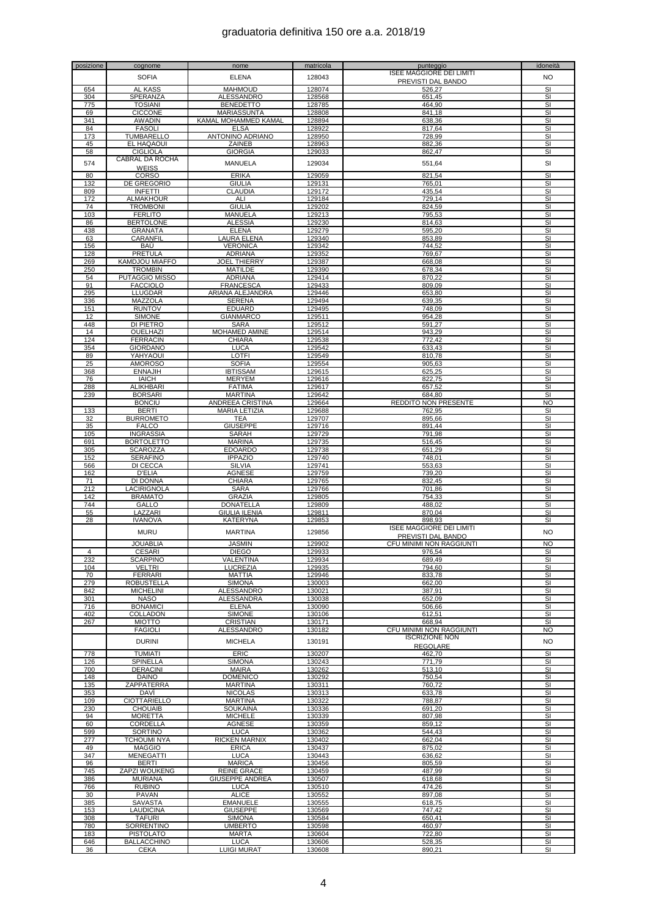| posizione | cognome               | nome                   | matricola | punteggio                       | idoneità                |
|-----------|-----------------------|------------------------|-----------|---------------------------------|-------------------------|
|           |                       |                        |           | <b>ISEE MAGGIORE DEI LIMITI</b> |                         |
|           | <b>SOFIA</b>          | ELENA                  | 128043    | PREVISTI DAL BANDO              | <b>NO</b>               |
| 654       | AL KASS               | <b>MAHMOUD</b>         | 128074    | 526,27                          | SI                      |
| 304       | SPERANZA              | ALESSANDRO             | 128568    | 651,45                          | SI                      |
| 775       | <b>TOSIANI</b>        | <b>BENEDETTO</b>       | 128785    | 464,90                          | SI                      |
|           |                       |                        |           |                                 |                         |
| 69        | <b>CICCONE</b>        | MARIASSUNTA            | 128808    | 841,18                          | SI                      |
| 341       | <b>AWADIN</b>         | KAMAL MOHAMMED KAMAL   | 128894    | 638,36                          | SI                      |
| 84        | <b>FASOLI</b>         | <b>ELSA</b>            | 128922    | 817.64                          | SI                      |
| 173       | TUMBARELLO            | ANTONINO ADRIANO       | 128950    | 728,99                          | SI                      |
| 45        | EL HAQAOUI            | ZAINEB                 | 128963    | 882,36                          | $\overline{\mathsf{S}}$ |
| 58        | <b>CIGLIOLA</b>       | <b>GIORGIA</b>         | 129033    | 862,47                          | SI                      |
|           | CABRAL DA ROCHA       |                        |           |                                 |                         |
| 574       |                       | <b>MANUELA</b>         | 129034    | 551,64                          | SI                      |
|           | <b>WEISS</b>          | <b>ERIKA</b>           | 129059    |                                 | $\overline{\mathbf{s}}$ |
| 80        | <b>CORSO</b>          |                        |           | 821,54                          |                         |
| 132       | DE GREGORIO           | GIULIA                 | 129131    | 765,01                          | SI                      |
| 809       | <b>INFETTI</b>        | CLAUDIA                | 129172    | 435,54                          | SI                      |
| 172       | <b>ALMAKHOUR</b>      | ALI                    | 129184    | 729,14                          | SI                      |
| 74        | <b>TROMBONI</b>       | <b>GIULIA</b>          | 129202    | 824.59                          | SI                      |
| 103       | <b>FERLITO</b>        | <b>MANUELA</b>         | 129213    | 795,53                          | SI                      |
| 86        | <b>BERTOLONE</b>      | <b>ALESSIA</b>         | 129230    | 814,63                          | SI                      |
| 438       | <b>GRANATA</b>        | <b>ELENA</b>           | 129279    | 595,20                          | SI                      |
| 63        | CARANFIL              | LAURA ELENA            | 129340    | 853,89                          | SI                      |
|           |                       |                        |           |                                 |                         |
| 156       | BAÚ                   | <b>VERONICA</b>        | 129342    | 744,52                          | SI                      |
| 128       | <b>PRETULA</b>        | <b>ADRIANA</b>         | 129352    | 769,67                          | SI                      |
| 269       | <b>KAMDJOU MIAFFO</b> | <b>JOEL THIERRY</b>    | 129387    | 668,08                          | SI                      |
| 250       | <b>TROMBIN</b>        | <b>MATILDE</b>         | 129390    | 678,34                          | SI                      |
| 54        | <b>PUTAGGIO MISSO</b> | ADRIANA                | 129414    | 870,22                          | SI                      |
| 91        | <b>FACCIOLO</b>       | <b>FRANCESCA</b>       | 129433    | 809.09                          | SI                      |
| 295       | <b>LLUGDAR</b>        | ARIANA ALEJANDRA       | 129446    | 653,80                          | SI                      |
|           |                       |                        |           |                                 | SI                      |
| 336       | MAZZOLA               | <b>SERENA</b>          | 129494    | 639,35                          |                         |
| 151       | <b>RUNTOV</b>         | <b>EDUARD</b>          | 129495    | 748,09                          | SI                      |
| 12        | <b>SIMONE</b>         | <b>GIANMARCO</b>       | 129511    | 954,28                          | $\overline{\mathbf{s}}$ |
| 448       | DI PIETRO             | SARA                   | 129512    | 591,27                          | SI                      |
| 14        | OUELHAZI              | MOHAMED AMINE          | 129514    | 943,29                          | SI                      |
| 124       | <b>FERRACIN</b>       | <b>CHIARA</b>          | 129538    | 772,42                          | SI                      |
| 354       | <b>GIORDANO</b>       | <b>LUCA</b>            | 129542    | 633,43                          | SI                      |
| 89        | YAHYAOUI              | LOTFI                  | 129549    | 810,78                          | $\overline{\mathbf{s}}$ |
| 25        | <b>AMOROSO</b>        | <b>SOFIA</b>           | 129554    | 905,63                          | SI                      |
|           |                       |                        |           |                                 |                         |
| 368       | <b>ENNAJIH</b>        | <b>IBTISSAM</b>        | 129615    | 625,25                          | SI                      |
| 76        | <b>IAICH</b>          | <b>MERYEM</b>          | 129616    | 822,75                          | SI                      |
| 288       | <b>ALIKHBARI</b>      | <b>FATIMA</b>          | 129617    | 657,52                          | SI                      |
| 239       | <b>BORSARI</b>        | <b>MARTINA</b>         | 129642    | 684,80                          | SI                      |
|           | <b>BONCIU</b>         | ANDREEA CRISTINA       | 129664    | <b>REDDITO NON PRESENTE</b>     | <b>NO</b>               |
| 133       | <b>BERTI</b>          | <b>MARIA LETIZIA</b>   | 129688    | 762,95                          | SI                      |
| 32        | <b>BURROMETO</b>      | <b>TEA</b>             | 129707    | 895,66                          | SI                      |
|           |                       |                        |           |                                 |                         |
| 35        | <b>FALCO</b>          | <b>GIUSEPPE</b>        | 129716    | 891,44                          | SI                      |
| 105       | <b>INGRASSIA</b>      | SARAH                  | 129729    | 791,98                          | $\overline{\mathbf{s}}$ |
| 691       | <b>BORTOLETTO</b>     | <b>MARINA</b>          | 129735    | 516,45                          | SI                      |
| 305       | <b>SCAROZZA</b>       | <b>EDOARDO</b>         | 129738    | 651,29                          | SI                      |
| 152       | <b>SERAFINO</b>       | <b>IPPAZIO</b>         | 129740    | 748,01                          | SI                      |
| 566       | DI CECCA              | <b>SILVIA</b>          | 129741    | 553,63                          | SI                      |
| 162       | <b>D'ELIA</b>         | <b>AGNESE</b>          | 129759    | 739,20                          | $\overline{\mathbf{s}}$ |
| 71        | DI DONNA              | <b>CHIARA</b>          | 129765    | 832,45                          | SI                      |
| 212       | LACIRIGNOLA           | <b>SARA</b>            | 129766    | 701,86                          | SI                      |
|           |                       |                        |           |                                 |                         |
| 142       | <b>BRAMATO</b>        | <b>GRAZIA</b>          | 129805    | 754,33                          | SI                      |
| 744       | GALLO                 | <b>DONATELLA</b>       | 129809    | 488,02                          | SI                      |
| 55        | LAZZARI               | <b>GIULIA ILENIA</b>   | 129811    | 870,04                          | SI                      |
| 28        | <b>IVANOVA</b>        | <b>KATERYNA</b>        | 129853    | 898,93                          | SI                      |
|           |                       |                        |           | <b>ISEE MAGGIORE DEI LIMITI</b> |                         |
|           | <b>MURU</b>           | <b>MARTINA</b>         | 129856    | PREVISTI DAL BANDO              | <b>NO</b>               |
|           | <b>JOUABLIA</b>       | <b>JASMIN</b>          | 129902    | CFU MINIMI NON RAGGIUNTI        | N <sub>O</sub>          |
|           |                       |                        |           |                                 |                         |
| 4         | CESARI                | <b>DIEGO</b>           | 129933    | 976.54                          | SІ                      |
| 232       | <b>SCARPINO</b>       | VALENTINA              | 129934    | 689,49                          | SI                      |
| 104       | <b>VELTRI</b>         | LUCREZIA               | 129935    | 794,60                          | SI                      |
| 70        | <b>FERRARI</b>        | MATTIA                 | 129946    | 833,78                          | SI                      |
| 279       | <b>ROBUSTELLA</b>     | <b>SIMONA</b>          | 130003    | 662,00                          | SI                      |
| 842       | <b>MICHELINI</b>      | <b>ALESSANDRO</b>      | 130021    | 387,91                          | SI                      |
| 301       | <b>NASO</b>           | ALESSANDRA             | 130038    | 652,09                          | SI                      |
| 716       | <b>BONAMICI</b>       | <b>ELENA</b>           | 130090    | 506,66                          | SI                      |
| 402       | COLLADON              | <b>SIMONE</b>          | 130106    | 612,51                          | SI                      |
| 267       | <b>MIOTTO</b>         | CRISTIAN               | 130171    | 668,94                          | SI                      |
|           |                       |                        |           |                                 |                         |
|           | <b>FAGIOLI</b>        | ALESSANDRO             | 130182    | CFU MINIMI NON RAGGIUNTI        | NO.                     |
|           | <b>DURINI</b>         | <b>MICHELA</b>         | 130191    | <b>ISCRIZIONE NON</b>           | <b>NO</b>               |
|           |                       |                        |           | <b>REGOLARE</b>                 |                         |
| 778       | <b>TUMIATI</b>        | <b>ERIC</b>            | 130207    | 462,70                          | SI                      |
| 126       | SPINELLA              | <b>SIMONA</b>          | 130243    | 771,79                          | SI                      |
| 700       | DERACINI              | <b>MAIRA</b>           | 130262    | 513,10                          | SI                      |
| 148       | DAINO                 | <b>DOMENICO</b>        | 130292    | 750,54                          | SI                      |
| 135       | ZAPPATERRA            | <b>MARTINA</b>         | 130311    | 760,72                          | SI                      |
|           |                       |                        |           |                                 |                         |
| 353       | DAVİ                  | <b>NICOLAS</b>         | 130313    | 633,78                          | SI                      |
| 109       | CIOTTARIELLO          | <b>MARTINA</b>         | 130322    | 788,87                          | SI                      |
| 230       | <b>CHOUAIB</b>        | SOUKAINA               | 130336    | 691,20                          | SI                      |
| 94        | <b>MORETTA</b>        | <b>MICHELE</b>         | 130339    | 807,98                          | SI                      |
| 60        | CORDELLA              | <b>AGNESE</b>          | 130359    | 859,12                          | SI                      |
| 599       | SORTINO               | <b>LUCA</b>            | 130362    | 544,43                          | SI                      |
| 277       | TCHOUMI NYA           | RICKEN MARNIX          | 130402    | 662,04                          | SI                      |
| 49        | <b>MAGGIO</b>         | <b>ERICA</b>           | 130437    | 875,02                          | SI                      |
|           |                       |                        |           |                                 |                         |
| 347       | MENEGATTI             | <b>LUCA</b>            | 130443    | 636,62                          | SI                      |
| 96        | <b>BERTI</b>          | <b>MARICA</b>          | 130456    | 805,59                          | SI                      |
| 745       | <b>ZAPZI WOUKENG</b>  | <b>REINE GRACE</b>     | 130459    | 487,99                          | SI                      |
| 386       | <b>MURIANA</b>        | <b>GIUSEPPE ANDREA</b> | 130507    | 618,68                          | SI                      |
| 766       | <b>RUBINO</b>         | <b>LUCA</b>            | 130510    | 474,26                          | SI                      |
| 30        | <b>PAVAN</b>          | <b>ALICE</b>           | 130552    | 897,08                          | SI                      |
| 385       | <b>SAVASTA</b>        | <b>EMANUELE</b>        | 130555    | 618,75                          | SI                      |
| 153       | LAUDICINA             | <b>GIUSEPPE</b>        | 130569    | 747,42                          | SI                      |
|           |                       |                        |           |                                 |                         |
| 308       | <b>TAFURI</b>         | <b>SIMONA</b>          | 130584    | 650,41                          | SI                      |
| 780       | SORRENTINO            | <b>UMBERTO</b>         | 130598    | 460,97                          | SI                      |
| 183       | <b>PISTOLATO</b>      | MARTA                  | 130604    | 722,80                          | SI                      |
| 646       | <b>BALLACCHINO</b>    | LUCA                   | 130606    | 528,35                          | SI                      |
| 36        | <b>CEKA</b>           | <b>LUIGI MURAT</b>     | 130608    | 890,21                          | SI                      |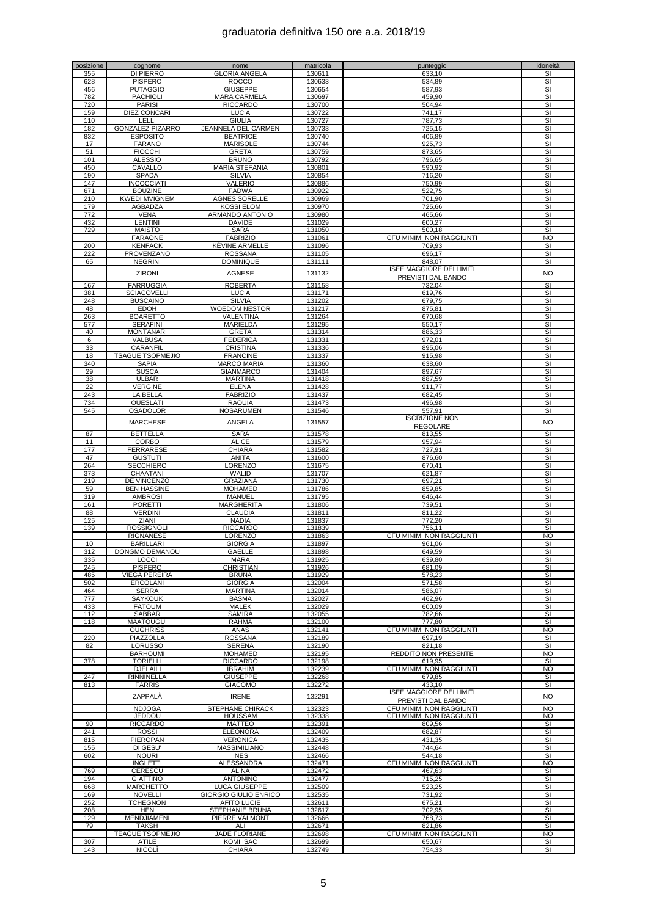| posizione | cognome                 | nome                   | matricola | punteggio                       | idoneità                 |
|-----------|-------------------------|------------------------|-----------|---------------------------------|--------------------------|
| 355       | DI PIERRO               | <b>GLORIA ANGELA</b>   | 130611    | 633,10                          | SI                       |
| 628       | <b>PISPERO</b>          | <b>ROCCO</b>           | 130633    | 534,89                          | SI                       |
| 456       | <b>PUTAGGIO</b>         | <b>GIUSEPPE</b>        | 130654    | 587,93                          | SI                       |
| 782       | <b>PACHIOLI</b>         | <b>MARA CARMELA</b>    | 130697    | 459,90                          | SI                       |
| 720       | <b>PARISI</b>           | <b>RICCARDO</b>        | 130700    | 504,94                          | SI                       |
| 159       | <b>DIEZ CONCARI</b>     | LUCIA                  | 130722    | 741,17                          | SI                       |
| 110       | LELLI                   | <b>GIULIA</b>          | 130727    | 787,73                          | SI                       |
| 182       | <b>GONZALEZ PIZARRO</b> | JEANNELA DEL CARMEN    | 130733    | 725,15                          | SI                       |
| 832       | <b>ESPOSITO</b>         | <b>BEATRICE</b>        | 130740    | 406,89                          | SI                       |
| 17        | <b>FARANO</b>           |                        | 130744    |                                 | SI                       |
|           |                         | <b>MARISOLE</b>        |           | 925,73                          |                          |
| 51        | <b>FIOCCHI</b>          | <b>GRETA</b>           | 130759    | 873,65                          | SI                       |
| 101       | <b>ALESSIO</b>          | <b>BRUNO</b>           | 130792    | 796,65                          | SI                       |
| 450       | CAVALLO                 | <b>MARIA STEFANIA</b>  | 130801    | 590,92                          | SI                       |
| 190       | <b>SPADA</b>            | <b>SILVIA</b>          | 130854    | 716,20                          | SI                       |
| 147       | INCOCCIATI              | <b>VALERIO</b>         | 130886    | 750,99                          | SI                       |
| 671       | <b>BOUZINE</b>          | <b>FADWA</b>           | 130922    | 522,75                          | SI                       |
| 210       | <b>KWEDI MVIGNEM</b>    | <b>AGNES SORELLE</b>   | 130969    | 701,90                          | SI                       |
| 179       | AGBADZA                 | <b>KOSSI ELOM</b>      | 130970    | 725,66                          | SI                       |
| 772       | <b>VENA</b>             | ARMANDO ANTONIO        | 130980    | 465,66                          | SI                       |
| 432       | <b>LENTINI</b>          | <b>DAVIDE</b>          | 131029    | 600,27                          | SI                       |
| 729       | <b>MAISTO</b>           | <b>SARA</b>            | 131050    | 500,18                          | SI                       |
|           | <b>FARAONE</b>          | <b>FABRIZIO</b>        | 131061    | CFU MINIMI NON RAGGIUNTI        | <b>NO</b>                |
| 200       | <b>KENFACK</b>          | KÉVINE ARMELLE         | 131096    | 709,93                          | SI                       |
| 222       | PROVENZANO              | <b>ROSSANA</b>         | 131105    | 696,17                          | SI                       |
| 65        | <b>NEGRINI</b>          | <b>DOMINIQUE</b>       | 131111    | 848,07                          | SI                       |
|           |                         |                        |           | <b>ISEE MAGGIORE DEI LIMITI</b> |                          |
|           | <b>ZIRONI</b>           | <b>AGNESE</b>          | 131132    |                                 | <b>NO</b>                |
|           |                         |                        |           | <b>PREVISTI DAL BANDO</b>       |                          |
| 167       | <b>FARRUGGIA</b>        | <b>ROBERTA</b>         | 131158    | 732,04                          | SI                       |
| 381       | <b>SCIACOVELLI</b>      | <b>LUCIA</b>           | 131171    | 619,76                          | SI                       |
| 248       | <b>BUSCAINO</b>         | <b>SILVIA</b>          | 131202    | 679,75                          | SI                       |
| 48        | <b>EDOH</b>             | <b>WOEDOM NESTOR</b>   | 131217    | 875,81                          | SI                       |
| 263       | <b>BOARETTO</b>         | VALENTINA              | 131264    | 670,68                          | SI                       |
| 577       | <b>SERAFINI</b>         | MARIELDA               | 131295    | 550,17                          | SI                       |
| 40        | <b>MONTANARI</b>        | <b>GRETA</b>           | 131314    | 886,33                          | SI                       |
| 6         | VALBUSA                 | <b>FEDERICA</b>        | 131331    | 972,01                          | SI                       |
| 33        | CARANFIL                | <b>CRISTINA</b>        | 131336    | 895,06                          | SI                       |
| 18        | <b>TSAGUE TSOPMEJIO</b> | <b>FRANCINE</b>        | 131337    | 915,98                          | SI                       |
| 340       | <b>SAPIA</b>            | <b>MARCO MARIA</b>     | 131360    | 638,60                          | SI                       |
| 29        | <b>SUSCA</b>            | <b>GIANMARCO</b>       | 131404    | 897,67                          | SI                       |
| 38        | <b>ULBAR</b>            | <b>MARTINA</b>         | 131418    | 887,59                          | SI                       |
|           |                         |                        |           |                                 |                          |
| 22        | <b>VERGINE</b>          | <b>ELENA</b>           | 131428    | 911,77                          | SI                       |
| 243       | LA BELLA                | <b>FABRIZIO</b>        | 131437    | 682,45                          | SI                       |
| 734       | <b>OUESLATI</b>         | <b>RAOUIA</b>          | 131473    | 496,98                          | SI                       |
| 545       | OSADOLOR                | <b>NOSARUMEN</b>       | 131546    | 557,91                          | SI                       |
|           | <b>MARCHESE</b>         | ANGELA                 | 131557    | <b>ISCRIZIONE NON</b>           | <b>NO</b>                |
|           |                         |                        |           | <b>REGOLARE</b>                 |                          |
| 87        | <b>BETTELLA</b>         | <b>SARA</b>            | 131578    | 813,55                          | $\overline{\mathsf{SI}}$ |
| 11        | CORBO                   | <b>ALICE</b>           | 131579    | 957,94                          | SI                       |
| 177       | <b>FERRARESE</b>        | <b>CHIARA</b>          | 131582    | 727,91                          | SI                       |
| 47        | <b>GUSTUTI</b>          | <b>ANITA</b>           | 131600    | 876,60                          | SI                       |
| 264       | <b>SECCHIERO</b>        | LORENZO                | 131675    | 670,41                          | SI                       |
| 373       | CHAATANI                | WALID                  | 131707    | 621,87                          | SI                       |
| 219       | DE VINCENZO             | GRAZIANA               | 131730    | 697,21                          | SI                       |
| 59        | <b>BEN HASSINE</b>      | <b>MOHAMED</b>         | 131786    | 859,85                          | SI                       |
|           |                         |                        | 131795    |                                 |                          |
| 319       | AMBROSI                 | MANUEL                 |           | 646,44                          | SI                       |
| 161       | <b>PORETTI</b>          | <b>MARGHERITA</b>      | 131806    | 739,51                          | SI                       |
| 88        | <b>VERDINI</b>          | <b>CLAUDIA</b>         | 131811    | 811,22                          | SI                       |
| 125       | ZIANI                   | <b>NADIA</b>           | 131837    | 772,20                          | SI                       |
| 139       | <b>ROSSIGNOLI</b>       | <b>RICCARDO</b>        | 131839    | 756.11                          | SI                       |
|           | RIGNANESE               | LORENZO                | 131863    | CFU MINIMI NON RAGGIUNTI        | NO                       |
| 10        | <b>BARILLARI</b>        | <b>GIORGIA</b>         | 131897    | 961,06                          | SI                       |
| 312       | DONGMO DEMANOU          | GAELLE                 | 131898    | 649,59                          | SI                       |
| 335       | LOCCI                   | <b>MARA</b>            | 131925    | 639,80                          | SI                       |
| 245       | <b>PISPERO</b>          | <b>CHRISTIAN</b>       | 131926    | 681,09                          | SI                       |
| 485       | <b>VIEGA PEREIRA</b>    | <b>BRUNA</b>           | 131929    | 578,23                          | SI                       |
| 502       | <b>ERCOLANI</b>         | <b>GIORGIA</b>         | 132004    | 571,58                          | SI                       |
| 464       | <b>SERRA</b>            | <b>MARTINA</b>         | 132014    | 586,07                          | SI                       |
| 777       | SAYKOUK                 | <b>BASMA</b>           | 132027    | 462,96                          | SI                       |
| 433       | <b>FATOUM</b>           | <b>MALEK</b>           | 132029    | 600,09                          | SI                       |
| 112       | SABBAR                  | <b>SAMIRA</b>          | 132055    | 782,66                          | SI                       |
| 118       | <b>MAATOUGUI</b>        | <b>RAHMA</b>           | 132100    | 777,80                          | SI                       |
|           | <b>OUGHRISS</b>         | <b>ANAS</b>            | 132141    | CFU MINIMI NON RAGGIUNTI        | <b>NO</b>                |
| 220       | PIAZZOLLA               | <b>ROSSANA</b>         | 132189    | 697.19                          | SI                       |
| 82        | <b>LORUSSO</b>          | <b>SERENA</b>          | 132190    | 821,18                          | $\overline{\mathbf{s}}$  |
|           | <b>BARHOUMI</b>         | <b>MOHAMED</b>         |           | REDDITO NON PRESENTE            | <b>NO</b>                |
|           |                         |                        | 132195    |                                 |                          |
| 378       | <b>TORIELLI</b>         | <b>RICCARDO</b>        | 132198    | 619,95                          | SI                       |
|           | <b>DJELAILI</b>         | <b>IBRAHIM</b>         | 132239    | CFU MINIMI NON RAGGIUNTI        | <b>NO</b>                |
| 247       | RINNINELLA              | <b>GIUSEPPE</b>        | 132268    | 679,85                          | SI                       |
| 813       | <b>FARRIS</b>           | <b>GIACOMO</b>         | 132272    | 433.10                          | SI                       |
|           | ZAPPALÀ                 | <b>IRENE</b>           | 132291    | <b>ISEE MAGGIORE DEI LIMITI</b> | <b>NO</b>                |
|           |                         |                        |           | PREVISTI DAL BANDO              |                          |
|           | <b>NDJOGA</b>           | STEPHANE CHIRACK       | 132323    | CFU MINIMI NON RAGGIUNTI        | <b>NO</b>                |
|           | <b>JEDDOU</b>           | <b>HOUSSAM</b>         | 132338    | CFU MINIMI NON RAGGIUNTI        | <b>NO</b>                |
| 90        | <b>RICCARDO</b>         | <b>MATTEO</b>          | 132391    | 809,56                          | SI                       |
| 241       | <b>ROSSI</b>            | <b>ELEONORA</b>        | 132409    | 682,87                          | SI                       |
| 815       | PIEROPAN                | <b>VERONICA</b>        | 132435    | 431,35                          | SI                       |
| 155       | DI GESU'                | MASSIMILIANO           | 132448    | 744,64                          | SI                       |
| 602       | <b>NOURI</b>            | <b>INES</b>            | 132466    | 544,18                          | SI                       |
|           | <b>INGLETTI</b>         | <b>ALESSANDRA</b>      | 132471    | CFU MINIMI NON RAGGIUNTI        | <b>NO</b>                |
| 769       | CERESCU                 | <b>ALINA</b>           | 132472    | 467,63                          | SI                       |
| 194       | <b>GIATTINO</b>         | <b>ANTONINO</b>        | 132477    | 715,25                          | SI                       |
| 668       | MARCHETTO               | LUCA GIUSEPPE          | 132509    | 523,25                          | SI                       |
| 169       | <b>NOVELLI</b>          | GIORGIO GIULIO ENRICO  | 132535    | 731,92                          | SI                       |
|           |                         |                        |           |                                 |                          |
| 252       | <b>TCHEGNON</b>         | <b>AFITO LUCIE</b>     | 132611    | 675,21                          | SI                       |
| 208       | HEN                     | <b>STEPHANIE BRUNA</b> | 132617    | 702,95                          | SI                       |
| 129       | MENDJIAMENI             | PIERRE VALMONT         | 132666    | 768,73                          | SI                       |
| 79        | TAKSH                   | ALI                    | 132671    | 821,86                          | SI                       |
|           | <b>TEAGUE TSOPMEJIO</b> | JADE FLORIANE          | 132698    | CFU MINIMI NON RAGGIUNTI        | <b>NO</b>                |
| 307       | <b>ATILE</b>            | KOMI ISAC              | 132699    | 650,67                          | SI                       |
| 143       | <b>NICOLI</b>           | <b>CHIARA</b>          | 132749    | 754,33                          | SI                       |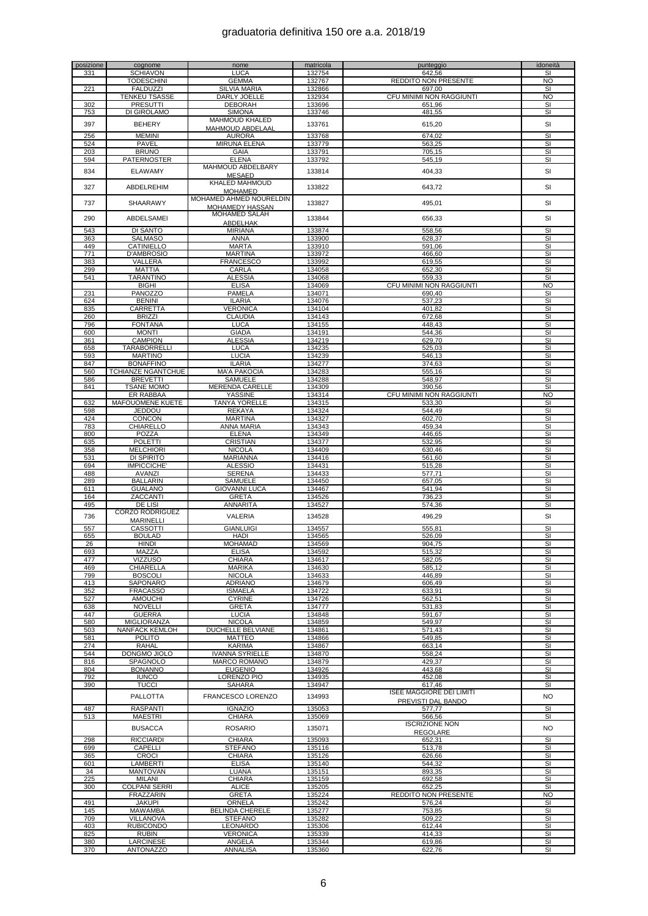| posizione  | cognome                              | nome                                    | matricola        | punteggio                                 | idoneità                      |
|------------|--------------------------------------|-----------------------------------------|------------------|-------------------------------------------|-------------------------------|
| 331        | <b>SCHIAVON</b><br><b>TODESCHINI</b> | <b>LUCA</b><br><b>GEMMA</b>             | 132754<br>132767 | 642,56<br>REDDITO NON PRESENTE            | SI<br><b>NO</b>               |
| 221        | <b>FALDUZZI</b>                      | <b>SILVIA MARIA</b>                     | 132866           | 697.00                                    | SI                            |
|            | <b>TENKEU TSASSE</b>                 | DARLY JOELLE                            | 132934           | CFU MINIMI NON RAGGIUNTI                  | NO                            |
| 302        | <b>PRESUTTI</b>                      | DEBORAH                                 | 133696           | 651,96                                    | SI                            |
| 753        | DI GIROLAMO                          | <b>SIMONA</b><br><b>MAHMOUD KHALED</b>  | 133746           | 481,55                                    | SI                            |
| 397        | <b>BEHERY</b>                        | <b>MAHMOUD ABDELAAL</b>                 | 133761           | 615,20                                    | SI                            |
| 256        | <b>MEMINI</b>                        | <b>AURORA</b>                           | 133768           | 674,02                                    | $\overline{\mathsf{S}}$       |
| 524        | PAVEL                                | <b>MIRUNA ELENA</b>                     | 133779           | 563,25                                    | SI                            |
| 203        | <b>BRUNO</b>                         | <b>GAIA</b>                             | 133791           | 705,15                                    | SI                            |
| 594        | <b>PATERNOSTER</b>                   | ELENA<br>MAHMOUD ABDELBARY              | 133792           | 545,19                                    | SI                            |
| 834        | <b>ELAWAMY</b>                       | <b>MESAED</b>                           | 133814           | 404,33                                    | SI                            |
| 327        | ABDELREHIM                           | KHALED MAHMOUD                          | 133822           | 643,72                                    | SI                            |
|            |                                      | <b>MOHAMED</b>                          |                  |                                           |                               |
| 737        | SHAARAWY                             | MOHAMED AHMED NOURELDIN                 | 133827           | 495,01                                    | SI                            |
|            |                                      | MOHAMEDY HASSAN<br><b>MOHAMED SALAH</b> |                  |                                           |                               |
| 290        | ABDELSAMEI                           | <b>ABDELHAK</b>                         | 133844           | 656,33                                    | SI                            |
| 543        | DI SANTO                             | <b>MIRIANA</b>                          | 133874           | 558,56                                    | SI                            |
| 363        | <b>SALMASO</b>                       | ANNA                                    | 133900           | 628,37                                    | SI                            |
| 449<br>771 | CATINIELLO<br>D'AMBROSIO             | <b>MARTA</b><br><b>MARTINA</b>          | 133910<br>133972 | 591,06<br>466,60                          | SI<br>SI                      |
| 383        | VALLERA                              | <b>FRANCESCO</b>                        | 133992           | 619,55                                    | SI                            |
| 299        | <b>MATTIA</b>                        | CARLA                                   | 134058           | 652,30                                    | $\overline{\mathbf{s}}$       |
| 541        | <b>TARANTINO</b>                     | <b>ALESSIA</b>                          | 134068           | 559.33                                    | SI                            |
|            | <b>BIGHI</b>                         | <b>ELISA</b>                            | 134069           | CFU MINIMI NON RAGGIUNTI                  | <b>NO</b>                     |
| 231<br>624 | <b>PANOZZO</b><br><b>BENINI</b>      | <b>PAMELA</b><br><b>ILARIA</b>          | 134071<br>134076 | 690,40<br>537,23                          | SI<br>SI                      |
| 835        | CARRETTA                             | <b>VERONICA</b>                         | 134104           | 401,82                                    | $\overline{\mathbf{s}}$       |
| 260        | <b>BRIZZI</b>                        | <b>CLAUDIA</b>                          | 134143           | 672,68                                    | SI                            |
| 796        | <b>FONTANA</b>                       | <b>LUCA</b>                             | 134155           | 448,43                                    | SI                            |
| 600<br>361 | <b>MONTI</b><br><b>CAMPION</b>       | <b>GIADA</b><br><b>ALESSIA</b>          | 134191<br>134219 | 544,36<br>629,70                          | SI<br>SI                      |
| 658        | TARABORRELLI                         | <b>LUCA</b>                             | 134235           | 525,03                                    | SI                            |
| 593        | <b>MARTINO</b>                       | <b>LUCIA</b>                            | 134239           | 546,13                                    | SI                            |
| 847        | <b>BONAFFINO</b>                     | <b>ILARIA</b>                           | 134277           | 374,63                                    | SI                            |
| 560        | <b>TCHIANZE NGANTCHUE</b>            | <b>MA'A PAKOCIA</b>                     | 134283           | 555,16                                    | SI                            |
| 586<br>841 | <b>BREVETTI</b><br><b>TSANE MOMO</b> | SAMUELE<br><b>MERENDA CARELLE</b>       | 134288<br>134309 | 548,97<br>390,56                          | SI<br>$\overline{\mathbf{s}}$ |
|            | ER RABBAA                            | YASSINE                                 | 134314           | CFU MINIMI NON RAGGIUNTI                  | NO                            |
| 632        | MAFOUOMENE KUETE                     | <b>TANYA YORELLE</b>                    | 134315           | 533,30                                    | SI                            |
| 598        | JEDDOU                               | <b>REKAYA</b>                           | 134324           | 544,49                                    | SI                            |
| 424        | <b>CONCON</b>                        | <b>MARTINA</b>                          | 134327           | 602,70                                    | SI                            |
| 783<br>800 | CHIARELLO<br>POZZA                   | ANNA MARIA<br><b>ELENA</b>              | 134343<br>134349 | 459,34<br>446,65                          | $\overline{\mathbf{s}}$<br>SI |
| 635        | <b>POLETTI</b>                       | <b>CRISTIAN</b>                         | 134377           | 532,95                                    | SI                            |
| 358        | <b>MELCHIORI</b>                     | <b>NICOLA</b>                           | 134409           | 630,46                                    | SI                            |
| 531        | DI SPIRITO                           | MARIANNA                                | 134416           | 561,60                                    | SI                            |
| 694        | <b>IMPICCICHE</b>                    | <b>ALESSIO</b>                          | 134431           | 515,28                                    | $\overline{\mathbf{s}}$<br>SI |
| 488<br>289 | <b>AVANZI</b><br><b>BALLARIN</b>     | <b>SERENA</b><br>SAMUELE                | 134433<br>134450 | 577,71<br>657,05                          | SI                            |
| 611        | <b>GUALANO</b>                       | <b>GIOVANNI LUCA</b>                    | 134467           | 541,94                                    | SI                            |
| 164        | ZACCANTI                             | <b>GRETA</b>                            | 134526           | 736,23                                    | SI                            |
| 495        | DE LISI                              | ANNARITA                                | 134527           | 574,36                                    | SI                            |
| 736        | CORZO RODRIGUEZ                      | VALERIA                                 | 134528           | 496,29                                    | SI                            |
| 557        | MARINELLI<br>CASSOTTI                | <b>GIANLUIGI</b>                        | 134557           | 555,81                                    | SI                            |
| 655        | <b>BOULAD</b>                        | HADI                                    | 134565           | 526,09                                    | SI                            |
| 26         | <b>HINDI</b>                         | <b>MOHAMAD</b>                          | 134569           | 904,75                                    | SI                            |
| 693        | MAZZA                                | ELISA                                   | 134592           | 515,32                                    | SI                            |
| 477<br>469 | <b>VIZZUSO</b><br>CHIARELLA          | <b>CHIARA</b><br><b>MARIKA</b>          | 134617<br>134630 | 582,05<br>585,12                          | SI<br>SI                      |
| 799        | <b>BOSCOLI</b>                       | <b>NICOLA</b>                           | 134633           | 446,89                                    | SI                            |
| 413        | SAPONARO                             | ADRIANO                                 | 134679           | 606,49                                    | SI                            |
| 352        | <b>FRACASSO</b>                      | <b>ISMAELA</b>                          | 134722           | 633,91                                    | SI                            |
| 527<br>638 | <b>AMOUCHI</b><br><b>NOVELLI</b>     | <b>CYRINE</b><br><b>GRETA</b>           | 134726<br>134777 | 562,51<br>531,83                          | SI<br>SI                      |
| 447        | <b>GUERRA</b>                        | <b>LUCIA</b>                            | 134848           | 591.67                                    | SI                            |
| 580        | <b>MIGLIORANZA</b>                   | <b>NICOLA</b>                           | 134859           | 549,97                                    | SI                            |
| 503        | <b>NANFACK KEMLOH</b>                | <b>DUCHELLE BELVIANE</b>                | 134861           | 571,43                                    | SI                            |
| 581        | <b>POLITO</b>                        | <b>MATTEO</b>                           | 134866           | 549,85                                    | SI                            |
| 274<br>544 | RAHAL<br>DONGMO JIOLO                | KARIMA<br><b>IVANNA SYRIELLE</b>        | 134867<br>134870 | 663,14<br>558,24                          | SI<br>SI                      |
| 816        | SPAGNOLO                             | MARCO ROMANO                            | 134879           | 429,37                                    | SI                            |
| 804        | <b>BONANNO</b>                       | <b>EUGENIO</b>                          | 134926           | 443,68                                    | SI                            |
| 792        | <b>IUNCO</b>                         | LORENZO PIO                             | 134935           | 452,08                                    | SI                            |
| 390        | <b>TUCCI</b>                         | SAHARA                                  | 134947           | 617.46<br><b>ISEE MAGGIORE DEI LIMITI</b> | SI                            |
|            | PALLOTTA                             | FRANCESCO LORENZO                       | 134993           | PREVISTI DAL BANDO                        | <b>NO</b>                     |
| 487        | <b>RASPANTI</b>                      | <b>IGNAZIO</b>                          | 135053           | 577,77                                    | SI                            |
| 513        | <b>MAESTRI</b>                       | <b>CHIARA</b>                           | 135069           | 566,56                                    | SI                            |
|            | <b>BUSACCA</b>                       | <b>ROSARIO</b>                          | 135071           | <b>ISCRIZIONE NON</b>                     | <b>NO</b>                     |
| 298        | <b>RICCIARDI</b>                     | <b>CHIARA</b>                           | 135093           | <b>REGOLARE</b><br>652,31                 | SI                            |
| 699        | CAPELLI                              | <b>STEFANO</b>                          | 135116           | 513,78                                    | SI                            |
| 365        | <b>CROCI</b>                         | <b>CHIARA</b>                           | 135126           | 626,66                                    | $\overline{\mathbf{s}}$       |
| 601        | LAMBERTI                             | <b>ELISA</b>                            | 135140           | 544,32                                    | SI                            |
| 34         | <b>MANTOVAN</b>                      | LUANA                                   | 135151           | 893,35                                    | SI                            |
| 225<br>300 | MILANI<br><b>COLPANI SERRI</b>       | <b>CHIARA</b><br><b>ALICE</b>           | 135159<br>135205 | 692,58<br>652,25                          | SI<br>SI                      |
|            | FRAZZARIN                            | <b>GRETA</b>                            | 135224           | <b>REDDITO NON PRESENTE</b>               | <b>NO</b>                     |
| 491        | JAKUPI                               | ORNELA                                  | 135242           | 576,24                                    | SI                            |
| 145        | <b>MAWAMBA</b>                       | BELINDA CHERELE                         | 135277           | 753,85                                    | SI                            |
| 709<br>403 | VILLANOVA<br><b>RUBICONDO</b>        | <b>STEFANO</b><br>LEONARDO              | 135282<br>135306 | 509,22<br>612,44                          | SI<br>SI                      |
| 825        | <b>RUBIN</b>                         | <b>VERONICA</b>                         | 135339           | 414,33                                    | SI                            |
| 380        | LARCINESE                            | ANGELA                                  | 135344           | 619,86                                    | SI                            |
| 370        | ANTONAZZO                            | ANNALISA                                | 135360           | 622,76                                    | SI                            |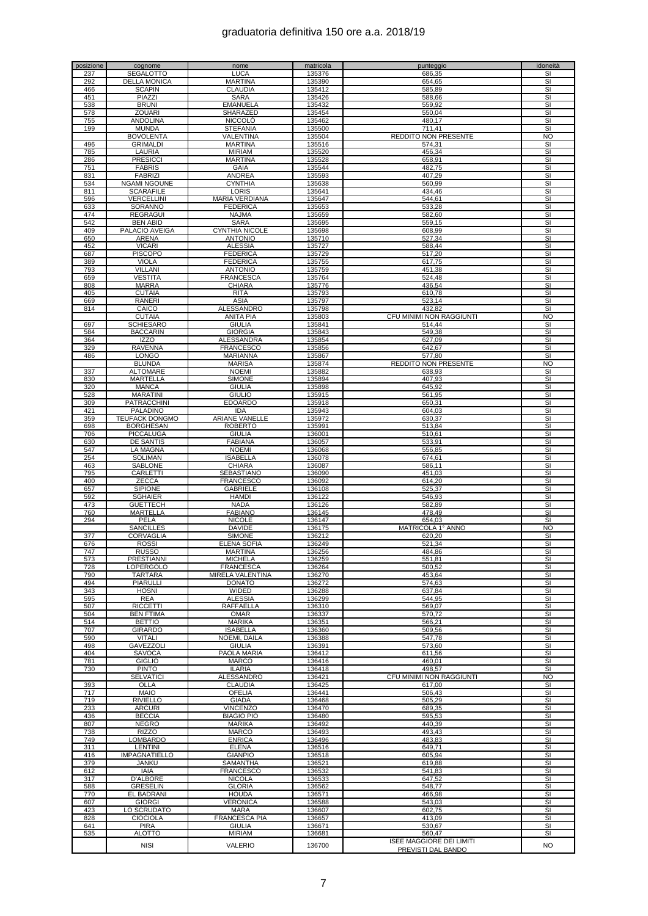| posizione | cognome               | nome                    | matricola | punteggio                       | idoneità  |
|-----------|-----------------------|-------------------------|-----------|---------------------------------|-----------|
| 237       | SEGALOTTO             | <b>LUCA</b>             | 135376    | 686,35                          | SI        |
| 292       | <b>DELLA MONICA</b>   | <b>MARTINA</b>          | 135390    | 654,65                          | SI        |
| 466       | <b>SCAPIN</b>         | CLAUDIA                 | 135412    | 585,89                          | SI        |
| 451       | PIAZZI                | <b>SARA</b>             | 135426    | 588,66                          | SI        |
| 538       | <b>BRUNI</b>          | <b>EMANUELA</b>         | 135432    | 559,92                          | SI        |
| 578       | <b>ZOUARI</b>         | SHARAZED                | 135454    | 550,04                          | SI        |
| 755       | <b>ANDOLINA</b>       | <b>NICCOLO</b>          | 135462    | 480,17                          | SI        |
| 199       | <b>MUNDA</b>          | <b>STEFANIA</b>         | 135500    | 711.41                          | SI        |
|           | <b>BOVOLENTA</b>      | VALENTINA               | 135504    | <b>REDDITO NON PRESENTE</b>     | <b>NO</b> |
| 496       | <b>GRIMALDI</b>       | <b>MARTINA</b>          | 135516    | 574,31                          | SI        |
|           |                       |                         |           |                                 |           |
| 785       | LAURIA                | <b>MIRIAM</b>           | 135520    | 456,34                          | SI        |
| 286       | <b>PRESICCI</b>       | <b>MARTINA</b>          | 135528    | 658,91                          | SI        |
| 751       | <b>FABRIS</b>         | GAIA                    | 135544    | 482,75                          | SI        |
| 831       | <b>FABRIZI</b>        | ANDREA                  | 135593    | 407,29                          | SI        |
| 534       | <b>NGAMI NGOUNE</b>   | <b>CYNTHIA</b>          | 135638    | 560,99                          | SI        |
| 811       | <b>SCARAFILE</b>      | <b>LORIS</b>            | 135641    | 434.46                          | SI        |
| 596       | VERCELLINI            | MARIA VERDIANA          | 135647    | 544,61                          | SI        |
| 633       | SORANNO               | <b>FEDERICA</b>         | 135653    | 533,28                          | SI        |
| 474       | <b>REGRAGUI</b>       | <b>NAJMA</b>            | 135659    | 582.60                          | SI        |
|           |                       |                         |           |                                 |           |
| 542       | <b>BEN ABID</b>       | <b>SARA</b>             | 135695    | 559,15                          | SI        |
| 409       | PALACIO AVEIGA        | <b>CYNTHIA NICOLE</b>   | 135698    | 608,99                          | SI        |
| 650       | <b>ARENA</b>          | <b>ANTONIO</b>          | 135710    | 527,34                          | SI        |
| 452       | <b>VICARI</b>         | <b>ALESSIA</b>          | 135727    | 588,44                          | SI        |
| 687       | PISCOPO               | <b>FEDERICA</b>         | 135729    | 517,20                          | SI        |
| 389       | <b>VIOLA</b>          | <b>FEDERICA</b>         | 135755    | 617,75                          | SI        |
| 793       | VILLANI               | <b>ANTONIO</b>          | 135759    | 451,38                          | SI        |
| 659       | <b>VESTITA</b>        | <b>FRANCESCA</b>        | 135764    | $\overline{524,48}$             | SI        |
| 808       | <b>MARRA</b>          | CHIARA                  | 135776    | 436,54                          | SI        |
| 405       | <b>CUTAIA</b>         | <b>RITA</b>             | 135793    | 610,78                          | SI        |
|           |                       |                         |           |                                 |           |
| 669       | <b>RANERI</b>         | <b>ASIA</b>             | 135797    | 523,14                          | SI        |
| 814       | CAICO                 | ALESSANDRO              | 135798    | 432,82                          | SI        |
|           | <b>CUTAIA</b>         | <b>ANITA PIA</b>        | 135803    | CFU MINIMI NON RAGGIUNTI        | <b>NO</b> |
| 697       | SCHIESARO             | <b>GIULIA</b>           | 135841    | 514,44                          | SI        |
| 584       | <b>BACCARIN</b>       | <b>GIORGIA</b>          | 135843    | 549,38                          | SI        |
| 364       | <b>IZZO</b>           | <b>ALESSANDRA</b>       | 135854    | 627,09                          | SI        |
| 329       | <b>RAVENNA</b>        | <b>FRANCESCO</b>        | 135856    | 642,67                          | SI        |
| 486       | <b>LONGO</b>          | MARIANNA                | 135867    | 577,80                          | SI        |
|           | <b>BLUNDA</b>         | <b>MARISA</b>           | 135874    | <b>REDDITO NON PRESENTE</b>     | <b>NO</b> |
|           |                       |                         |           |                                 |           |
| 337       | ALTOMARE              | <b>NOEMI</b>            | 135882    | 638,93                          | SI        |
| 830       | <b>MARTELLA</b>       | <b>SIMONE</b>           | 135894    | 407,93                          | SI        |
| 320       | <b>MANCA</b>          | <b>GIULIA</b>           | 135898    | 645,92                          | SI        |
| 528       | <b>MARATINI</b>       | <b>GIULIO</b>           | 135915    | 561,95                          | SI        |
| 309       | PATRACCHINI           | EDOARDO                 | 135918    | 650,31                          | SI        |
| 421       | PALADINO              | <b>IDA</b>              | 135943    | 604,03                          | SI        |
| 359       | <b>TEUFACK DONGMO</b> | <b>ARIANE VANELLE</b>   | 135972    | 630,37                          | SI        |
| 698       | <b>BORGHESAN</b>      | <b>ROBERTO</b>          | 135991    | 513,84                          | SI        |
| 706       | PICCALUGA             | <b>GIULIA</b>           | 136001    | 510,61                          | SI        |
| 630       |                       | <b>FABIANA</b>          | 136057    | 533,91                          | SI        |
|           | DE SANTIS             |                         |           |                                 |           |
| 547       | LA MAGNA              | <b>NOEMI</b>            | 136068    | 556,85                          | SI        |
| 254       | <b>SOLIMAN</b>        | <b>ISABELLA</b>         | 136078    | 674,61                          | SI        |
| 463       | SABLONE               | <b>CHIARA</b>           | 136087    | 586,11                          | SI        |
| 795       | CARLETTI              | SEBASTIANO              | 136090    | 451,03                          | SI        |
| 400       | <b>ZECCA</b>          | <b>FRANCESCO</b>        | 136092    | 614,20                          | SI        |
| 657       | <b>SIPIONE</b>        | GABRIELE                | 136108    | 525,37                          | SI        |
| 592       | <b>SGHAIER</b>        | <b>HAMDI</b>            | 136122    | 546,93                          | SI        |
| 473       | <b>GUETTECH</b>       | <b>NADA</b>             | 136126    | 582,89                          | SI        |
| 760       | MARTELLA              | <b>FABIANO</b>          | 136145    | 478,49                          | SI        |
| 294       | PELA                  | <b>NICOLE</b>           | 136147    | 654,03                          | SI        |
|           |                       |                         |           |                                 |           |
|           | <b>SANCILLES</b>      | <b>DAVIDE</b>           | 136175    | MATRICOLA 1° ANNO               | <b>NO</b> |
| 377       | CORVAGLIA             | <b>SIMONE</b>           | 136212    | 620,20                          | SI        |
| 676       | <b>ROSSI</b>          | <b>ELENA SOFIA</b>      | 136249    | 521,34                          | SI        |
| 747       | RILSSO                | <b>MARTINA</b>          | 136256    | 484.86                          | SI        |
| 573       | <b>PRESTIANNI</b>     | <b>MICHELA</b>          | 136259    | 551.81                          | SI        |
| 728       | LOPERGOLO             | <b>FRANCESCA</b>        | 136264    | 500.52                          | <b>SI</b> |
| 790       | <b>TARTARA</b>        | <b>MIRELA VALENTINA</b> | 136270    | 453,64                          | SI        |
| 494       | <b>PIARULLI</b>       | <b>DONATO</b>           | 136272    | 574,63                          | SI        |
| 343       | <b>HOSNI</b>          | <b>WIDED</b>            | 136288    | 637,84                          | SI        |
| 595       | <b>REA</b>            | <b>ALESSIA</b>          | 136299    | 544,95                          | SI.       |
|           |                       | <b>RAFFAELLA</b>        |           |                                 |           |
| 507       | <b>RICCETTI</b>       |                         | 136310    | 569,07<br>570.72                | <b>SI</b> |
| 504       | <b>BEN FTIMA</b>      | <b>OMAR</b>             | 136337    |                                 | SI        |
| 514       | <b>BETTIO</b>         | <b>MARIKA</b>           | 136351    | 566,21                          | SI        |
| 707       | <b>GIRARDO</b>        | <b>ISABELLA</b>         | 136360    | 509,56                          | SI        |
| 590       | <b>VITALI</b>         | NOEMI, DAILA            | 136388    | 547.78                          | SI        |
| 498       | GAVEZZOLI             | <b>GIULIA</b>           | 136391    | 573,60                          | SI        |
| 404       | <b>SAVOCA</b>         | PAOLA MARIA             | 136412    | 611,56                          | SI        |
| 781       | <b>GIGLIO</b>         | MARCO                   | 136416    | 460,01                          | SI        |
| 730       | <b>PINTO</b>          | <b>ILARIA</b>           | 136418    | 498,57                          | SI        |
|           | <b>SELVATICI</b>      | ALESSANDRO              | 136421    | CFU MINIMI NON RAGGIUNTI        | <b>NO</b> |
| 393       | OLLA                  | CLAUDIA                 | 136425    | 617,00                          | SI        |
| 717       | <b>MAIO</b>           | <b>OFELIA</b>           | 136441    | 506,43                          | SI        |
| 719       | <b>RIVIELLO</b>       | <b>GIADA</b>            | 136468    | 505,29                          | SI        |
|           |                       |                         |           |                                 |           |
| 233       | <b>ARCURI</b>         | <b>VINCENZO</b>         | 136470    | 689,35                          | SI        |
| 436       | <b>BECCIA</b>         | <b>BIAGIO PIO</b>       | 136480    | 595,53                          | SI        |
| 807       | <b>NEGRO</b>          | <b>MARIKA</b>           | 136492    | 440,39                          | SI        |
| 738       | <b>RIZZO</b>          | <b>MARCO</b>            | 136493    | 493,43                          | SI        |
| 749       | LOMBARDO              | <b>ENRICA</b>           | 136496    | 483,83                          | SI        |
| 311       | LENTINI               | <b>ELENA</b>            | 136516    | 649,71                          | SI        |
| 416       | <b>IMPAGNATIELLO</b>  | <b>GIANPIO</b>          | 136518    | 605,94                          | SI        |
| 379       | JANKU                 | SAMANTHA                | 136521    | 619,88                          | SI        |
| 612       | <b>IAIA</b>           | <b>FRANCESCO</b>        | 136532    | 541,83                          | SI        |
| 317       | <b>D'ALBORE</b>       | <b>NICOLA</b>           |           | 647,52                          | SI        |
|           |                       |                         | 136533    |                                 |           |
| 588       | <b>GRESELIN</b>       | <b>GLORIA</b>           | 136562    | 548,77                          | SI        |
| 770       | EL BADRANI            | <b>HOUDA</b>            | 136571    | 466,98                          | SI        |
| 607       | <b>GIORGI</b>         | VERONICA                | 136588    | 543,03                          | SI        |
| 423       | LO SCRUDATO           | MARA                    | 136607    | 602,75                          | SI        |
| 828       | CIOCIOLA              | FRANCESCA PIA           | 136657    | 413,09                          | SI        |
| 641       | <b>PIRA</b>           | <b>GIULIA</b>           | 136671    | 530,67                          | SI        |
| 535       | <b>ALOTTO</b>         | <b>MIRIAM</b>           | 136681    | 560,47                          | SI        |
|           |                       |                         |           | <b>ISEE MAGGIORE DEI LIMITI</b> |           |
|           | <b>NISI</b>           | VALERIO                 | 136700    | PREVISTI DAL BANDO              | <b>NO</b> |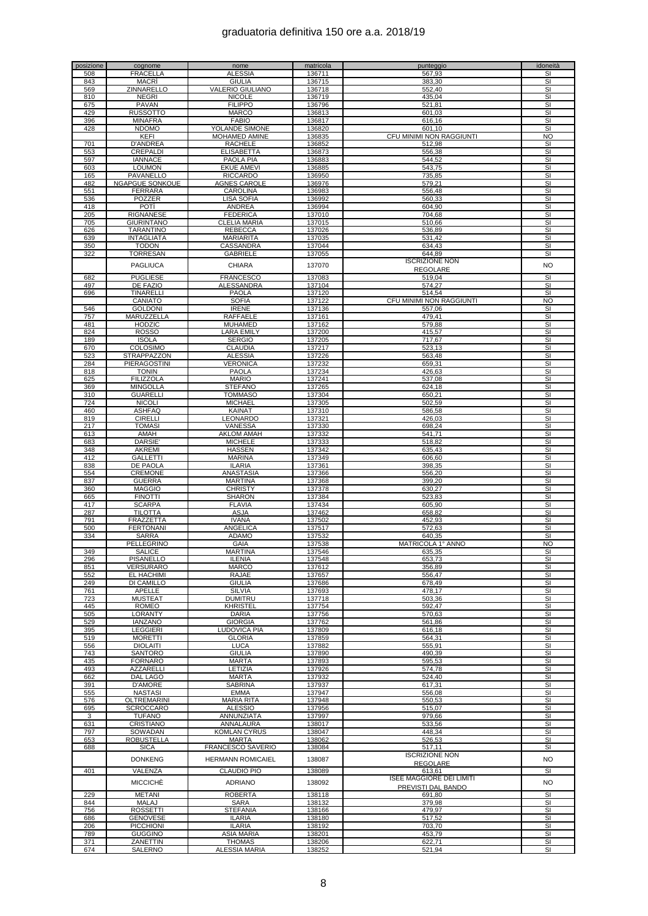| posizione  | cognome                | nome                     | matricola | punteggio                       | idoneità                |
|------------|------------------------|--------------------------|-----------|---------------------------------|-------------------------|
| 508        | <b>FRACELLA</b>        | <b>ALESSIA</b>           | 136711    | 567,93                          | SI                      |
| 843        | <b>MACRI</b>           | <b>GIULIA</b>            | 136715    | 383,30                          | SI                      |
|            |                        |                          |           |                                 |                         |
| 569        | ZINNARELLO             | VALERIO GIULIANO         | 136718    | 552,40                          | SI                      |
| 810        | <b>NEGRI</b>           | <b>NICOLE</b>            | 136719    | 435,04                          | SI                      |
| 675        | PAVAN                  | <b>FILIPPO</b>           | 136796    | 521,81                          | SI                      |
| 429        | <b>RUSSOTTO</b>        | <b>MARCO</b>             | 136813    | 601,03                          | SI                      |
| 396        | <b>MINAFRA</b>         | <b>FABIO</b>             | 136817    | 616.16                          | SI                      |
|            |                        |                          |           |                                 |                         |
| 428        | <b>NDOMO</b>           | YOLANDE SIMONE           | 136820    | 601,10                          | $\overline{\mathbf{s}}$ |
|            | KEFI                   | <b>MOHAMED AMINE</b>     | 136835    | CFU MINIMI NON RAGGIUNTI        | NO                      |
| 701        | <b>D'ANDREA</b>        | <b>RACHELE</b>           | 136852    | 512,98                          | SI                      |
| 553        | <b>CREPALDI</b>        | <b>ELISABETTA</b>        | 136873    | 556,38                          | SI                      |
|            |                        |                          |           |                                 |                         |
| 597        | <b>IANNACE</b>         | PAOLA PIA                | 136883    | 544,52                          | SI                      |
| 603        | <b>LOUMON</b>          | <b>EKUE AMEVI</b>        | 136885    | 543,75                          | SI                      |
| 165        | <b>PAVANELLO</b>       | <b>RICCARDO</b>          | 136950    | 735,85                          | SI                      |
| 482        | <b>NGAPGUE SONKOUE</b> | <b>AGNES CAROLE</b>      | 136976    | 579,21                          | SI                      |
| 551        | <b>FERRARA</b>         | <b>CAROLINA</b>          | 136983    | 556,48                          | SI                      |
|            |                        |                          |           |                                 |                         |
| 536        | POZZER                 | <b>LISA SOFIA</b>        | 136992    | 560.33                          | SI                      |
| 418        | <b>POTI</b>            | <b>ANDREA</b>            | 136994    | 604,90                          | SI                      |
| 205        | <b>RIGNANESE</b>       | <b>FEDERICA</b>          | 137010    | 704.68                          | SI                      |
| 705        | <b>GIURINTANO</b>      | <b>CLELIA MARIA</b>      | 137015    | 510.66                          | SI                      |
| 626        | <b>TARANTINO</b>       | <b>REBECCA</b>           | 137026    | 536,89                          | SI                      |
|            |                        |                          |           |                                 |                         |
| 639        | <b>INTAGLIATA</b>      | <b>MARIARITA</b>         | 137035    | 531,42                          | SI                      |
| 350        | <b>TODON</b>           | CASSANDRA                | 137044    | 634,43                          | SI                      |
| 322        | TORRESAN               | <b>GABRIELE</b>          | 137055    | 644,89                          | SI                      |
|            |                        |                          |           | <b>ISCRIZIONE NON</b>           |                         |
|            | PAGLIUCA               | <b>CHIARA</b>            | 137070    | <b>REGOLARE</b>                 | <b>NO</b>               |
| 682        | <b>PUGLIESE</b>        | <b>FRANCESCO</b>         | 137083    | 519,04                          | SI                      |
|            |                        |                          |           |                                 |                         |
| 497        | DE FAZIO               | ALESSANDRA               | 137104    | 574,27                          | SI                      |
| 696        | <b>TINARELLI</b>       | <b>PAOLA</b>             | 137120    | 514,54                          | SI                      |
|            | CANIATO                | <b>SOFIA</b>             | 137122    | CFU MINIMI NON RAGGIUNTI        | <b>NO</b>               |
| 546        | <b>GOLDONI</b>         | <b>IRENE</b>             | 137136    | 557,06                          | SI                      |
| 757        | MARUZZELLA             | <b>RAFFAELE</b>          | 137161    | 479,41                          | SI                      |
|            |                        |                          |           |                                 |                         |
| 481        | <b>HODZIC</b>          | <b>MUHAMED</b>           | 137162    | 579,88                          | SI                      |
| 824        | <b>ROSSO</b>           | <b>LARA EMILY</b>        | 137200    | 415,57                          | SI                      |
| 189        | <b>ISOLA</b>           | <b>SERGIO</b>            | 137205    | 717,67                          | SI                      |
| 670        | <b>COLOSIMO</b>        | CLAUDIA                  | 137217    | 523,13                          | SI                      |
| 523        | <b>STRAPPAZZON</b>     | <b>ALESSIA</b>           | 137226    | 563,48                          | SI                      |
|            |                        |                          |           |                                 |                         |
| 284        | <b>PIERAGOSTINI</b>    | VERONICA                 | 137232    | 659,31                          | SI                      |
| 818        | <b>TONIN</b>           | <b>PAOLA</b>             | 137234    | 426,63                          | SI                      |
| 625        | <b>FILIZZOLA</b>       | <b>MARIO</b>             | 137241    | 537,08                          | SI                      |
| 369        | <b>MINGOLLA</b>        | <b>STEFANO</b>           | 137265    | 624,18                          | SI                      |
| 310        |                        |                          | 137304    |                                 | SI                      |
|            | <b>GUARELLI</b>        | TOMMASO                  |           | 650,21                          |                         |
| 724        | <b>NICOLI</b>          | <b>MICHAEL</b>           | 137305    | 502,59                          | SI                      |
| 460        | <b>ASHFAQ</b>          | <b>KAINAT</b>            | 137310    | 586,58                          | SI                      |
| 819        | <b>CIRELLI</b>         | LEONARDO                 | 137321    | 426,03                          | <b>SI</b>               |
| 217        | <b>TOMASI</b>          | VANESSA                  | 137330    | 698,24                          | SI                      |
|            |                        |                          |           |                                 |                         |
| 613        | AMAH                   | <b>AKLOM AMAH</b>        | 137332    | 541,71                          | SI                      |
| 683        | DARSIE'                | <b>MICHELE</b>           | 137333    | 518,82                          | SI                      |
| 348        | <b>AKREMI</b>          | <b>HASSEN</b>            | 137342    | 635,43                          | SI                      |
| 412        | GALLETTI               | <b>MARINA</b>            | 137349    | 606,60                          | SI                      |
| 838        | DE PAOLA               | <b>ILARIA</b>            | 137361    | 398,35                          | SI                      |
|            |                        |                          |           |                                 |                         |
| 554        | <b>CREMONE</b>         | <b>ANASTASIA</b>         | 137366    | 556,20                          | SI                      |
| 837        | <b>GUERRA</b>          | <b>MARTINA</b>           | 137368    | 399,20                          | SI                      |
| 360        | <b>MAGGIO</b>          | <b>CHRISTY</b>           | 137378    | 630,27                          | SI                      |
| 665        | <b>FINOTTI</b>         | <b>SHARON</b>            | 137384    | 523,83                          | SI                      |
| 417        | <b>SCARPA</b>          | <b>FLAVIA</b>            | 137434    | 605,90                          | SI                      |
|            |                        |                          |           |                                 |                         |
| 287        | <b>TILOTTA</b>         | <b>ASJA</b>              | 137462    | 658,82                          | SI                      |
| 791        | FRAZZETTA              | <b>IVANA</b>             | 137502    | 452,93                          | SI                      |
| 500        | <b>FERTONANI</b>       | <b>ANGELICA</b>          | 137517    | 572,63                          | SI                      |
| 334        | SARRA                  | ADAMO                    | 137532    | 640,35                          | SI                      |
|            | <b>PELLEGRINO</b>      | GAIA                     | 137538    | MATRICOLA 1° ANNO               | N <sub>O</sub>          |
| 349        | SALICE                 | <b>MARTINA</b>           | 137546    | 635.35                          |                         |
|            |                        |                          |           |                                 |                         |
| 296        | <b>PISANELLO</b>       | <b>ILENIA</b>            | 137548    | 653,73                          | SI                      |
| 851        | VERSURARO              | <b>MARCO</b>             | 137612    | 356,89                          | SI                      |
| 552        | EL HACHIMI             | <b>RAJAE</b>             | 137657    | 556,47                          | SI                      |
| 249        | DI CAMILLO             | <b>GIULIA</b>            | 137686    | 678,49                          | SI                      |
| 761        | APELLE                 | <b>SILVIA</b>            | 137693    | 478,17                          | SI                      |
|            |                        |                          |           |                                 |                         |
| 723        | <b>MUSTEAT</b>         | <b>DUMITRU</b>           | 137718    | 503,36                          | SI                      |
| 445        | <b>ROMEO</b>           | <b>KHRISTEL</b>          | 137754    | 592,47                          | SI                      |
| 505        | LORANTY                | DARIA                    | 137756    | 570,63                          | SI                      |
| 529        | <b>IANZANO</b>         | <b>GIORGIA</b>           | 137762    | 561,86                          | SI                      |
| 395        | <b>LEGGIERI</b>        | LUDOVICA PIA             | 137809    | 616, 18                         | SI                      |
| 519        | <b>MORETTI</b>         | <b>GLORIA</b>            | 137859    | 564.31                          | SI                      |
|            |                        |                          |           |                                 |                         |
| 556        | <b>DIOLAITI</b>        | <b>LUCA</b>              | 137882    | 555,91                          | SI                      |
| 743        | <b>SANTORO</b>         | <b>GIULIA</b>            | 137890    | 490,39                          | SI                      |
| 435        | <b>FORNARO</b>         | <b>MARTA</b>             | 137893    | 595,53                          | SI                      |
| 493        | <b>AZZARELLI</b>       | LETIZIA                  | 137926    | 574,78                          | SI                      |
| 662        | DAL LAGO               | <b>MARTA</b>             | 137932    | 524,40                          | SI                      |
|            |                        |                          |           |                                 |                         |
| 391        | <b>D'AMORE</b>         | <b>SABRINA</b>           | 137937    | 617,31                          | SI                      |
| 555        | <b>NASTASI</b>         | <b>EMMA</b>              | 137947    | 556,08                          | SI                      |
| 576        | <b>OLTREMARINI</b>     | <b>MARIA RITA</b>        | 137948    | 550,53                          | SI                      |
| 695        | <b>SCROCCARO</b>       | <b>ALESSIO</b>           | 137956    | 515,07                          | SI                      |
| 3          | <b>TUFANO</b>          | ANNUNZIATA               | 137997    | 979,66                          | SI                      |
|            | CRISTIANO              | ANNALAURA                | 138017    |                                 | SI                      |
| 631        |                        |                          |           | 533,56                          |                         |
| 797        | SOWADAN                | KOMLAN CYRUS             | 138047    | 448,34                          | SI                      |
| 653        | <b>ROBUSTELLA</b>      | MARTA                    | 138062    | 526,53                          | SI                      |
| 688        | <b>SICA</b>            | FRANCESCO SAVERIO        | 138084    | 517,11                          | SI                      |
|            |                        |                          |           | <b>ISCRIZIONE NON</b>           |                         |
|            | <b>DONKENG</b>         | <b>HERMANN ROMICAIEL</b> | 138087    |                                 | <b>NO</b>               |
|            |                        |                          |           | <b>REGOLARE</b>                 |                         |
| 401        | VALENZA                | <b>CLAUDIO PIO</b>       | 138089    | 613,61                          | SI                      |
|            | <b>MICCICHE</b>        | <b>ADRIANO</b>           |           | <b>ISEE MAGGIORE DEI LIMITI</b> | <b>NO</b>               |
|            |                        |                          | 138092    | PREVISTI DAL BANDO              |                         |
| 229        | <b>METANI</b>          | <b>ROBERTA</b>           | 138118    | 691,80                          | SI                      |
|            |                        |                          |           |                                 |                         |
| 844        | MALAJ                  | <b>SARA</b>              | 138132    | 379,98                          | SI                      |
| 756        | <b>ROSSETTI</b>        | <b>STEFANIA</b>          | 138166    | 479,97                          | SI                      |
| 686        | <b>GENOVESE</b>        | <b>ILARIA</b>            | 138180    | 517,52                          | SI                      |
| 206        | <b>PICCHIONI</b>       | <b>ILARIA</b>            | 138192    | 703,70                          | $\overline{\mathbf{s}}$ |
| 789        | <b>GUGGINO</b>         | <b>ASIA MARIA</b>        | 138201    | 453,79                          | SI                      |
|            |                        |                          |           |                                 |                         |
| 371<br>674 | ZANETTIN               | <b>THOMAS</b>            | 138206    | 622,71                          | SI                      |
|            | SALERNO                | <b>ALESSIA MARIA</b>     | 138252    | 521,94                          | SI                      |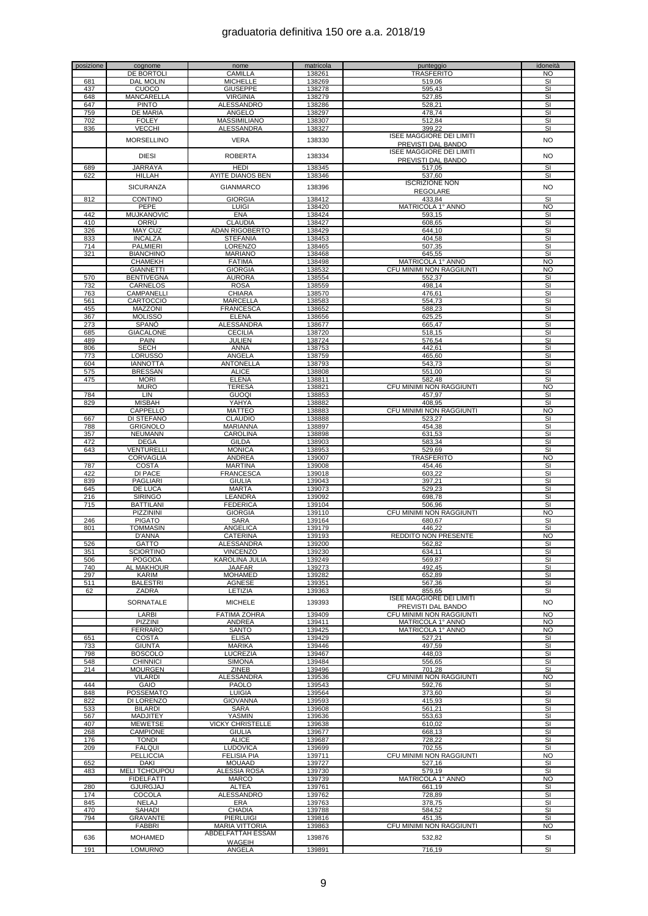| posizione | cognome              | nome                    | matricola | punteggio                       | idoneità                |
|-----------|----------------------|-------------------------|-----------|---------------------------------|-------------------------|
|           | <b>DE BORTOLI</b>    | CAMILLA                 | 138261    | <b>TRASFERITO</b>               | <b>NO</b>               |
| 681       | <b>DAL MOLIN</b>     | <b>MICHELLE</b>         | 138269    | 519,06                          | SI                      |
|           |                      |                         |           |                                 |                         |
| 437       | CUOCO                | <b>GIUSEPPE</b>         | 138278    | 595,43                          | $\overline{\mathsf{S}}$ |
| 648       | <b>MANCARELLA</b>    | <b>VIRGINIA</b>         | 138279    | 527,85                          | SI                      |
| 647       | <b>PINTO</b>         | ALESSANDRO              | 138286    | 528,21                          | SI                      |
| 759       | DE MARIA             | ANGELO                  | 138297    | 478,74                          | SI                      |
|           |                      |                         |           |                                 |                         |
| 702       | <b>FOLEY</b>         | MASSIMILIANO            | 138307    | 512,84                          | SI                      |
| 836       | <b>VECCHI</b>        | ALESSANDRA              | 138327    | 399,22                          | $\overline{\mathsf{S}}$ |
|           |                      |                         |           | <b>ISEE MAGGIORE DEI LIMITI</b> |                         |
|           | <b>MORSELLINO</b>    | <b>VERA</b>             | 138330    |                                 | <b>NO</b>               |
|           |                      |                         |           | PREVISTI DAL BANDO              |                         |
|           | <b>DIESI</b>         | <b>ROBERTA</b>          | 138334    | <b>ISEE MAGGIORE DEI LIMITI</b> | <b>NO</b>               |
|           |                      |                         |           | PREVISTI DAL BANDO              |                         |
| 689       | <b>JARRAYA</b>       | <b>HEDI</b>             | 138345    | 517,05                          | SI                      |
|           |                      |                         |           |                                 |                         |
| 622       | HILLAH               | <b>AYITE DIANOS BEN</b> | 138346    | 537,60                          | SI                      |
|           |                      |                         |           | <b>ISCRIZIONE NON</b>           |                         |
|           | <b>SICURANZA</b>     | <b>GIANMARCO</b>        | 138396    | <b>REGOLARE</b>                 | <b>NO</b>               |
|           |                      |                         |           |                                 |                         |
| 812       | <b>CONTINO</b>       | <b>GIORGIA</b>          | 138412    | 433,84                          | SI                      |
|           | <b>PEPE</b>          | LUIGI                   | 138420    | MATRICOLA 1° ANNO               | <b>NO</b>               |
| 442       | <b>MUJKANOVIC</b>    | <b>ENA</b>              | 138424    | 593,15                          | SI                      |
| 410       |                      | <b>CLAUDIA</b>          |           |                                 | <b>SI</b>               |
|           | ORRÚ                 |                         | 138427    | 608,65                          |                         |
| 326       | <b>MAY CUZ</b>       | <b>ADAN RIGOBERTO</b>   | 138429    | 644,10                          | SI                      |
| 833       | <b>INCALZA</b>       | <b>STEFANIA</b>         | 138453    | 404,58                          | SI                      |
| 714       | <b>PALMIERI</b>      | LORENZO                 | 138465    | 507,35                          | SI                      |
|           |                      |                         |           |                                 |                         |
| 321       | <b>BIANCHINO</b>     | <b>MARIANO</b>          | 138468    | 645,55                          | SI                      |
|           | <b>CHAMEKH</b>       | <b>FATIMA</b>           | 138498    | MATRICOLA 1° ANNO               | <b>NO</b>               |
|           | <b>GIANNETTI</b>     | <b>GIORGIA</b>          | 138532    | CFU MINIMI NON RAGGIUNTI        | <b>NO</b>               |
|           |                      |                         |           |                                 |                         |
| 570       | <b>BENTIVEGNA</b>    | <b>AURORA</b>           | 138554    | 552,37                          | SI                      |
| 732       | CARNELOS             | <b>ROSA</b>             | 138559    | 498,14                          | SI                      |
| 763       | CAMPANELLI           | <b>CHIARA</b>           | 138570    | 476,61                          | SI                      |
| 561       | CARTOCCIO            | <b>MARCELLA</b>         | 138583    | 554,73                          | <b>SI</b>               |
|           |                      |                         |           |                                 |                         |
| 455       | MAZZONI              | <b>FRANCESCA</b>        | 138652    | 588,23                          | SI                      |
| 367       | <b>MOLISSO</b>       | <b>ELENA</b>            | 138656    | 625,25                          | SI                      |
| 273       | SPANO                | <b>ALESSANDRA</b>       | 138677    | 665,47                          | SI                      |
|           |                      |                         |           |                                 |                         |
| 685       | <b>GIACALONE</b>     | <b>CECILIA</b>          | 138720    | 518,15                          | SI                      |
| 489       | PAIN                 | JULIEN                  | 138724    | 576,54                          | <b>SI</b>               |
| 806       | <b>SECH</b>          | ANNA                    | 138753    | 442,61                          | $\overline{\mathsf{S}}$ |
|           | <b>LORUSSO</b>       |                         |           |                                 |                         |
| 773       |                      | ANGELA                  | 138759    | 465,60                          | SI                      |
| 604       | <b>IANNOTTA</b>      | <b>ANTONELLA</b>        | 138793    | 543,73                          | SI                      |
| 575       | <b>BRESSAN</b>       | <b>ALICE</b>            | 138808    | 551.00                          | SI                      |
| 475       | <b>MORI</b>          | <b>ELENA</b>            | 138811    | 582,48                          | SI                      |
|           |                      |                         |           |                                 |                         |
|           | <b>MURO</b>          | <b>TERESA</b>           | 138821    | CFU MINIMI NON RAGGIUNTI        | NO                      |
| 784       | LIN                  | <b>GUOQI</b>            | 138853    | 457,97                          | SI                      |
| 829       | <b>MISBAH</b>        | YAHYA                   | 138882    | 408,95                          | SI                      |
|           |                      |                         |           |                                 |                         |
|           | CAPPELLO             | <b>MATTEO</b>           | 138883    | CFU MINIMI NON RAGGIUNTI        | <b>NO</b>               |
| 667       | DI STEFANO           | <b>CLAUDIO</b>          | 138888    | 523,27                          | SI                      |
| 788       | <b>GRIGNOLO</b>      | MARIANNA                | 138897    | 454,38                          | SI                      |
| 357       | <b>NEUMANN</b>       | CAROLINA                | 138898    |                                 | SI                      |
|           |                      |                         |           | 631,53                          |                         |
| 472       | <b>DEGA</b>          | <b>GILDA</b>            | 138903    | 583,34                          | SI                      |
| 643       | VENTURELLI           | <b>MONICA</b>           | 138953    | 529,69                          | SI                      |
|           | CORVAGLIA            | ANDREA                  | 139007    | <b>TRASFERITO</b>               | <b>NO</b>               |
|           |                      |                         |           |                                 |                         |
| 787       | <b>COSTA</b>         | <b>MARTINA</b>          | 139008    | 454,46                          | SI                      |
| 422       | <b>DI PACE</b>       | <b>FRANCESCA</b>        | 139018    | 603,22                          | SI                      |
| 839       | <b>PAGLIARI</b>      | <b>GIULIA</b>           | 139043    | 397,21                          | SI                      |
| 645       | DE LUCA              | <b>MARTA</b>            | 139073    | 529,23                          | SI                      |
|           |                      |                         |           |                                 |                         |
| 216       | <b>SIRINGO</b>       | LEANDRA                 | 139092    | 698,78                          | SI                      |
| 715       | <b>BATTILANI</b>     | <b>FEDERICA</b>         | 139104    | 506,96                          | SI                      |
|           | PIZZININI            | <b>GIORGIA</b>          | 139110    | CFU MINIMI NON RAGGIUNTI        | <b>NO</b>               |
| 246       | <b>PIGATO</b>        | <b>SARA</b>             | 139164    | 680,67                          | SI                      |
|           |                      |                         |           |                                 |                         |
| 801       | TOMMASIN             | <b>ANGELICA</b>         | 139179    | 446,22                          | SI                      |
|           | D'ANNA               | CATERINA                | 139193    | REDDITO NON PRESENTE            | <b>NO</b>               |
| 526       | GATTO                | ALESSANDRA              | 139200    | 562,82                          | SI                      |
| 351       |                      |                         |           |                                 |                         |
|           | <b>SCIORTINO</b>     | <b>VINCENZO</b>         | 139230    | 634.11                          | SI                      |
| 506       | <b>POGODA</b>        | KAROLINA JULIA          | 139249    | 569.87                          | SI                      |
| 740       | AL MAKHOUR           | <b>JAAFAR</b>           | 139273    | 492,45                          | SI                      |
| 297       | KARIM                | <b>MOHAMED</b>          | 139282    | 652,89                          | SI                      |
|           |                      |                         |           |                                 |                         |
| 511       | <b>BALESTRI</b>      | AGNESE                  | 139351    | 567,36                          | SI                      |
| 62        | ZADRA                | LETIZIA                 | 139363    | 855,65                          | SI                      |
|           |                      |                         |           | <b>ISEE MAGGIORE DEI LIMITI</b> |                         |
|           | SORNATALE            | <b>MICHELE</b>          | 139393    | PREVISTI DAL BANDO              | <b>NO</b>               |
|           |                      |                         |           |                                 |                         |
|           | LARBI                | <b>FATIMA ZOHRA</b>     | 139409    | CFU MINIMI NON RAGGIUNTI        | <b>NO</b>               |
|           | PIZZINI              | <b>ANDREA</b>           | 139411    | MATRICOLA 1° ANNO               | <b>NO</b>               |
|           | <b>FERRARO</b>       | SANTO                   | 139425    | MATRICOLA 1° ANNO               | <b>NO</b>               |
| 651       | COSTA                | <b>ELISA</b>            | 139429    |                                 | SI                      |
|           |                      |                         |           | 527,21                          |                         |
| 733       | <b>GIUNTA</b>        | <b>MARIKA</b>           | 139446    | 497,59                          | SI                      |
| 798       | <b>BOSCOLO</b>       | LUCREZIA                | 139467    | 448,03                          | SI                      |
| 548       | <b>CHINNICI</b>      | <b>SIMONA</b>           | 139484    | 556.65                          | SI                      |
| 214       | <b>MOURGEN</b>       | ZINEB                   | 139496    | 701,28                          | SI                      |
|           |                      |                         |           |                                 |                         |
|           | <b>VILARDI</b>       | <b>ALESSANDRA</b>       | 139536    | CFU MINIMI NON RAGGIUNTI        | <b>NO</b>               |
| 444       | GAIO                 | <b>PAOLO</b>            | 139543    | 592,76                          | SI                      |
| 848       | POSSEMATO            | LUIGIA                  | 139564    | 373,60                          | SI                      |
|           |                      |                         |           |                                 |                         |
| 822       | <b>DI LORENZO</b>    | <b>GIOVANNA</b>         | 139593    | 415,93                          | SI                      |
| 533       | <b>BILARDI</b>       | SARA                    | 139608    | 561,21                          | SI                      |
| 567       | <b>MADJITEY</b>      | YASMIN                  | 139636    | 553,63                          | SI                      |
| 407       | <b>MEWETSE</b>       | <b>VICKY CHRISTELLE</b> | 139638    | 610,02                          | SI                      |
|           |                      |                         |           |                                 |                         |
| 268       | <b>CAMPIONE</b>      | <b>GIULIA</b>           | 139677    | 668,13                          | SI                      |
| 176       | <b>TONDI</b>         | <b>ALICE</b>            | 139687    | 728,22                          | SI                      |
| 209       | <b>FALQUI</b>        | <b>LUDOVICA</b>         | 139699    | 702,55                          | SI                      |
|           |                      |                         |           |                                 |                         |
|           | <b>PELLICCIA</b>     | <b>FELISIA PIA</b>      | 139711    | CFU MINIMI NON RAGGIUNTI        | <b>NO</b>               |
| 652       | DAKI                 | <b>MOUAAD</b>           | 139727    | 527,16                          | SI                      |
| 483       | <b>MELI TCHOUPOU</b> | ALESSIA ROSA            | 139730    | 579,19                          | SI                      |
|           |                      |                         |           |                                 |                         |
|           | <b>FIDELFATTI</b>    | MARCO                   | 139739    | MATRICOLA 1° ANNO               | <b>NO</b>               |
| 280       | GJURGJAJ             | <b>ALTEA</b>            | 139761    | 661,19                          | SI                      |
| 174       | COCOLA               | ALESSANDRO              | 139762    | 728,89                          | SI                      |
|           |                      |                         |           |                                 |                         |
| 845       | NELAJ                | ERA                     | 139763    | 378,75                          | SI                      |
| 470       | SAHADI               | <b>CHADIA</b>           | 139788    | 584,52                          | SI                      |
| 794       | <b>GRAVANTE</b>      | <b>PIERLUIGI</b>        | 139816    | 451.35                          | SI                      |
|           | <b>FABBRI</b>        | <b>MARIA VITTORIA</b>   | 139863    | CFU MINIMI NON RAGGIUNTI        | <b>NO</b>               |
|           |                      |                         |           |                                 |                         |
| 636       | <b>MOHAMED</b>       | ABDELFATTAH ESSAM       | 139876    | 532,82                          | SI                      |
|           |                      | <b>WAGEIH</b>           |           |                                 |                         |
| 191       | <b>LOMURNO</b>       | ANGELA                  | 139891    | 716,19                          | SI                      |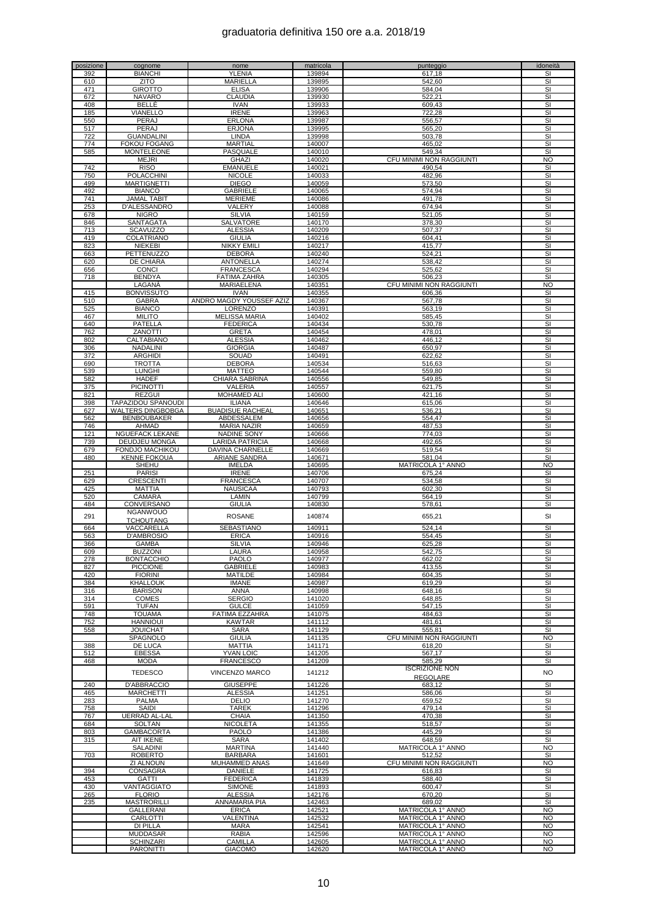|     | cognome                              | nome                      | matricola        | punteggio                              | idoneità                |
|-----|--------------------------------------|---------------------------|------------------|----------------------------------------|-------------------------|
| 392 | <b>BIANCHI</b>                       | YLENIA                    | 139894           | 617,18                                 | SI                      |
| 610 | <b>ZITO</b>                          | MARIELLA                  | 139895           | 542,60                                 | SI                      |
|     |                                      |                           |                  |                                        |                         |
| 471 | <b>GIROTTO</b>                       | <b>ELISA</b>              | 139906           | 584,04                                 | SI                      |
| 672 | NAVARO                               | CLAUDIA                   | 139930           | 522,21                                 | SI                      |
| 408 | BELLÈ                                | <b>IVAN</b>               | 139933           | 609,43                                 | SI                      |
| 185 | VIANELLO                             | <b>IRENE</b>              | 139963           | 722,28                                 | SI                      |
|     |                                      |                           |                  |                                        |                         |
| 550 | PERAJ                                | <b>ERLONA</b>             | 139987           | 556,57                                 | SI                      |
| 517 | PERAJ                                | <b>ERJONA</b>             | 139995           | 565,20                                 | SI                      |
| 722 | <b>GUANDALINI</b>                    | <b>LINDA</b>              | 139998           | 503.78                                 | SI                      |
| 774 | <b>FOKOU FOGANG</b>                  | <b>MARTIAL</b>            | 140007           | 465,02                                 | SI                      |
|     |                                      |                           |                  |                                        |                         |
| 585 | <b>MONTELEONE</b>                    | PASQUALE                  | 140010           | 549,34                                 | SI                      |
|     | <b>MEJRI</b>                         | <b>GHAZI</b>              | 140020           | CFU MINIMI NON RAGGIUNTI               | <b>NO</b>               |
| 742 | <b>RISO</b>                          | <b>EMANUELE</b>           | 140021           | 490,54                                 | SI                      |
| 750 | <b>POLACCHINI</b>                    | <b>NICOLE</b>             | 140033           | 482.96                                 | SI                      |
|     | <b>MARTIGNETTI</b>                   |                           |                  |                                        |                         |
| 499 |                                      | <b>DIEGO</b>              | 140059           | 573.50                                 | SI                      |
| 492 | <b>BIANCO</b>                        | <b>GABRIELE</b>           | 140065           | 574,94                                 | SI                      |
| 741 | <b>JAMAL TABIT</b>                   | <b>MERIEME</b>            | 140086           | 491,78                                 | SI                      |
| 253 | D'ALESSANDRO                         | VALERY                    | 140088           | 674,94                                 | SI                      |
|     |                                      |                           |                  |                                        |                         |
| 678 | <b>NIGRO</b>                         | <b>SILVIA</b>             | 140159           | 521,05                                 | SI                      |
| 846 | <b>SANTAGATA</b>                     | SALVATORE                 | 140170           | 378,30                                 | SI                      |
| 713 | <b>SCAVUZZO</b>                      | <b>ALESSIA</b>            | 140209           | 507,37                                 | SI                      |
| 419 | COLATRIANO                           | <b>GIULIA</b>             | 140216           | 604,41                                 | SI                      |
|     |                                      |                           |                  |                                        |                         |
| 823 | <b>NIEKEBI</b>                       | <b>NIKKY EMILI</b>        | 140217           | 415,77                                 | SI                      |
| 663 | PETTENUZZO                           | <b>DEBORA</b>             | 140240           | 524,21                                 | SI                      |
| 620 | DE CHIARA                            | <b>ANTONELLA</b>          | 140274           | 538,42                                 | SI                      |
| 656 | CONCI                                | <b>FRANCESCA</b>          | 140294           | 525,62                                 | SI                      |
|     |                                      |                           |                  |                                        |                         |
| 718 | <b>BENDYA</b>                        | <b>FATIMA ZAHRA</b>       | 140305           | 506,23                                 | SI                      |
|     | LAGANÀ                               | MARIAELENA                | 140351           | CFU MINIMI NON RAGGIUNTI               | <b>NO</b>               |
| 415 | <b>BONVISSUTO</b>                    | <b>IVAN</b>               | 140355           | 606,36                                 | SI                      |
| 510 | <b>GABRA</b>                         | ANDRO MAGDY YOUSSEF AZIZ  | 140367           | 567.78                                 | SI                      |
|     |                                      |                           |                  |                                        |                         |
| 525 | <b>BIANCO</b>                        | LORENZO                   | 140391           | 563.19                                 | SI                      |
| 467 | <b>MILITO</b>                        | <b>MELISSA MARIA</b>      | 140402           | 585,45                                 | SI                      |
| 640 | PATELLA                              | <b>FEDERICA</b>           | 140434           | 530,78                                 | SI                      |
|     |                                      | <b>GRETA</b>              |                  |                                        |                         |
| 762 | ZANOTTI                              |                           | 140454           | 478,01                                 | SI                      |
| 802 | CALTABIANO                           | <b>ALESSIA</b>            | 140462           | 446,12                                 | $\overline{\mathbf{s}}$ |
| 306 | NADALINI                             | <b>GIORGIA</b>            | 140487           | 650,97                                 | SI                      |
| 372 | <b>ARGHIDI</b>                       | SOUAD                     | 140491           | 622,62                                 | SI                      |
|     |                                      |                           |                  |                                        |                         |
| 690 | <b>TROTTA</b>                        | <b>DEBORA</b>             | 140534           | 516,63                                 | SI                      |
| 539 | <b>LUNGHI</b>                        | <b>MATTEO</b>             | 140544           | 559.80                                 | SI                      |
| 582 | <b>HADEF</b>                         | <b>CHIARA SABRINA</b>     | 140556           | 549,85                                 | SI                      |
| 375 | <b>PICINOTTI</b>                     | VALERIA                   | 140557           | 621,75                                 | SI                      |
|     |                                      |                           |                  |                                        |                         |
| 821 | <b>REZGUI</b>                        | MOHAMED ALI               | 140600           | 421,16                                 | SI                      |
| 398 | TAPAZIDOU SPANOUDI                   | <b>ILIANA</b>             | 140646           | 615,06                                 | SI                      |
| 627 | <b>WALTERS DINGBOBGA</b>             | <b>BUADISUE RACHEAL</b>   | 140651           | 536,21                                 | SI                      |
| 562 | <b>BENBOUBAKER</b>                   | ABDESSALEM                | 140656           | 554,47                                 | SI                      |
|     |                                      |                           |                  |                                        |                         |
| 746 | AHMAD                                | <b>MARIA NAZIR</b>        | 140659           | 487,53                                 | SI                      |
| 121 | NGUEFACK LEKANE                      | <b>NADINE SONY</b>        | 140666           | 774,03                                 | SI                      |
| 739 | DEUDJEU MONGA                        | LARIDA PATRICIA           | 140668           | 492,65                                 | SI                      |
| 679 | FONDJO MACHIKOU                      | DAVINA CHARNELLE          | 140669           | 519,54                                 | SI                      |
|     |                                      |                           |                  |                                        |                         |
| 480 | <b>KENNE FOKOUA</b>                  | <u>ARIANE SANDRA</u>      | 140671           | 581,04                                 | SI                      |
|     | <b>SHEHU</b>                         | <b>IMELDA</b>             | 140695           | MATRICOLA 1° ANNO                      | N <sub>O</sub>          |
| 251 | <b>PARISI</b>                        | <b>IRENE</b>              | 140706           | 675,24                                 | SI                      |
| 629 | CRESCENTI                            | <b>FRANCESCA</b>          | 140707           | 534,58                                 | SI                      |
|     |                                      |                           |                  |                                        |                         |
| 425 | <b>MATTIA</b>                        | <b>NAUSICAA</b>           | 140793           | 602,30                                 | SI                      |
| 520 | CAMARA                               | LAMIN                     | 140799           | 564,19                                 | SI                      |
| 484 | CONVERSANO                           | <b>GIULIA</b>             | 140830           | 578,61                                 | SI                      |
|     | <b>NGANWOUO</b>                      |                           |                  |                                        |                         |
| 291 |                                      | <b>ROSANE</b>             | 140874           | 655,21                                 | SI                      |
|     | <b>TCHOUTANG</b>                     |                           |                  |                                        |                         |
| 664 | VACCARELLA                           | <b>SEBASTIANO</b>         | 140911           | 524,14                                 | SI                      |
| 563 | <b>D'AMBROSIO</b>                    | <b>ERICA</b>              | 140916           | 554,45                                 | SI                      |
| 366 | <b>GAMBA</b>                         | <b>SILVIA</b>             | 140946           | 625,28                                 | SI                      |
| 60Q | <b>BUZZONI</b>                       |                           | 140958           | 542.75                                 | SI                      |
|     |                                      | LAURA                     |                  |                                        |                         |
| 278 | <b>BONTACCHIO</b>                    | <b>PAOLO</b>              | 140977           | 662,02                                 | SI                      |
| 827 | <b>PICCIONE</b>                      | <b>GABRIELE</b>           | 140983           | 413,55                                 | SI                      |
| 420 | <b>FIORINI</b>                       | <b>MATILDE</b>            | 140984           | 604,35                                 |                         |
| 384 |                                      |                           |                  |                                        |                         |
|     | KHALLOUK                             | <b>IMANE</b>              |                  |                                        | SI                      |
| 316 | <b>BARISON</b>                       |                           | 140987           | 619.29                                 | SI                      |
| 314 |                                      | <b>ANNA</b>               | 140998           | 648,16                                 | SI                      |
|     | <b>COMES</b>                         | <b>SERGIO</b>             | 141020           | 648,85                                 | SI                      |
|     |                                      |                           |                  |                                        |                         |
| 591 | <b>TUFAN</b>                         | <b>GULCE</b>              | 141059           | 547,15                                 | SI                      |
| 748 | <b>TOUAMA</b>                        | FATIMA EZZAHRA            | 141075           | 484,63                                 | SI                      |
| 752 | <b>HANNIOUI</b>                      | <b>KAWTAR</b>             | 141112           | 481,61                                 | SI                      |
| 558 | <b>JOUICHAT</b>                      | <b>SARA</b>               | 141129           | 555,81                                 | SI                      |
|     | SPAGNOLO                             | <b>GIULIA</b>             | 141135           | CFU MINIMI NON RAGGIUNTI               | <b>NO</b>               |
|     |                                      |                           |                  |                                        |                         |
| 388 | DE LUCA                              | <b>MATTIA</b>             | 141171           | 618,20                                 | SI                      |
| 512 | <b>EBESSA</b>                        | <b>YVAN LOIC</b>          | 141205           | 567,17                                 | SI                      |
| 468 | <b>MODA</b>                          | <b>FRANCESCO</b>          | 141209           | 585,29                                 | SI                      |
|     |                                      |                           |                  | <b>ISCRIZIONE NON</b>                  |                         |
|     | <b>TEDESCO</b>                       | <b>VINCENZO MARCO</b>     | 141212           |                                        | <b>NO</b>               |
|     |                                      |                           |                  | <b>REGOLARE</b>                        |                         |
| 240 | D'ABBRACCIO                          | <b>GIUSEPPE</b>           | 141226           | 683,12                                 | SI                      |
| 465 | <b>MARCHETTI</b>                     | <b>ALESSIA</b>            | 141251           | 586,06                                 | SI                      |
| 283 | <b>PALMA</b>                         | <b>DELIO</b>              | 141270           | 659,52                                 | SI                      |
|     |                                      |                           |                  |                                        |                         |
| 758 | SAIDI                                | <b>TAREK</b>              | 141296           | 479,14                                 | SI                      |
| 767 | UERRAD AL-LAL                        | CHAIA                     | 141350           | 470,38                                 | SI                      |
| 684 | <b>SOLTAN</b>                        | NICOLETA                  | 141355           | 518,57                                 | SI                      |
| 803 | GAMBACORTA                           | PAOLO                     | 141386           | 445,29                                 | SI                      |
|     |                                      |                           |                  |                                        |                         |
| 315 | <b>AIT IKENE</b>                     | <b>SARA</b>               | 141402           | 648,59                                 | SI                      |
|     | SALADINI                             | <b>MARTINA</b>            | 141440           | MATRICOLA 1° ANNO                      | <b>NO</b>               |
| 703 | <b>ROBERTO</b>                       | <b>BARBARA</b>            | 141601           | 512,52                                 | SI                      |
|     | ZI ALNOUN                            | MUHAMMED ANAS             | 141649           | CFU MINIMI NON RAGGIUNTI               | <b>NO</b>               |
|     |                                      |                           |                  |                                        |                         |
| 394 | CONSAGRA                             | DANIELE                   | 141725           | 616,83                                 | SI                      |
| 453 | GATTI                                | <b>FEDERICA</b>           | 141839           | 588,40                                 | SI                      |
| 430 | <b>VANTAGGIATO</b>                   | <b>SIMONE</b>             | 141893           | 600,47                                 | SI                      |
|     | <b>FLORIO</b>                        | <b>ALESSIA</b>            | 142176           |                                        | SI                      |
| 265 |                                      |                           |                  | 670,20                                 |                         |
| 235 | <b>MASTRORILLI</b>                   | ANNAMARIA PIA             | 142463           | 689,02                                 | SI                      |
|     | GALLERANI                            | <b>ERICA</b>              | 142521           | MATRICOLA 1° ANNO                      | <b>NO</b>               |
|     | CARLOTTI                             | VALENTINA                 | 142532           | MATRICOLA 1° ANNO                      | <b>NO</b>               |
|     |                                      |                           |                  |                                        |                         |
|     | <b>DI PILLA</b>                      | <b>MARA</b>               | 142541           | MATRICOLA 1° ANNO                      | <b>NO</b>               |
|     | MUDDASAR                             | <b>RABIA</b>              | 142596           | MATRICOLA 1° ANNO                      | <b>NO</b>               |
|     | <b>SCHINZARI</b><br><b>PARONITTI</b> | CAMILLA<br><b>GIACOMO</b> | 142605<br>142620 | MATRICOLA 1° ANNO<br>MATRICOLA 1º ANNO | <b>NO</b><br><b>NO</b>  |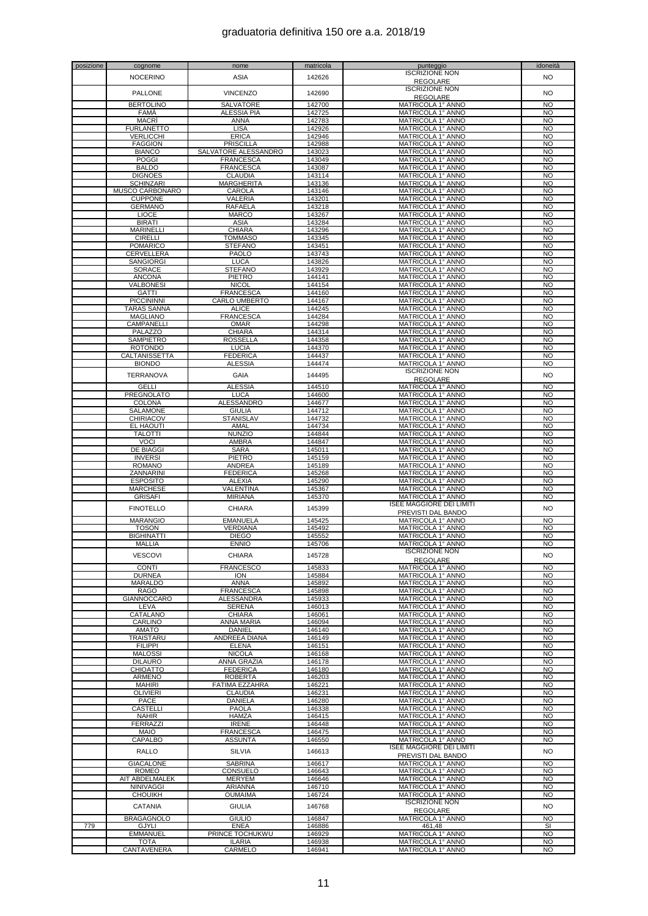| posizione | cognome                            | nome                             | matricola        | punteggio                              | idoneità               |
|-----------|------------------------------------|----------------------------------|------------------|----------------------------------------|------------------------|
|           | <b>NOCERINO</b>                    | ASIA                             | 142626           | <b>ISCRIZIONE NON</b>                  | N <sub>O</sub>         |
|           |                                    |                                  |                  | <b>REGOLARE</b>                        |                        |
|           | PALLONE                            | <b>VINCENZO</b>                  | 142690           | <b>ISCRIZIONE NON</b>                  | <b>NO</b>              |
|           |                                    |                                  |                  | <b>REGOLARE</b>                        |                        |
|           | <b>BERTOLINO</b>                   | <b>SALVATORE</b>                 | 142700           | MATRICOLA 1° ANNO                      | <b>NO</b>              |
|           | <b>FAMA</b>                        | <b>ALESSIA PIA</b>               | 142725           | MATRICOLA 1° ANNO                      | <b>NO</b>              |
|           | <b>MACRI</b>                       | <b>ANNA</b>                      | 142783           | MATRICOLA 1° ANNO                      | <b>NO</b>              |
|           | <b>FURLANETTO</b>                  | <b>LISA</b>                      | 142926           | MATRICOLA 1° ANNO                      | <b>NO</b>              |
|           | VERLICCHI<br><b>FAGGION</b>        | <b>ERICA</b><br><b>PRISCILLA</b> | 142946<br>142988 | MATRICOLA 1° ANNO                      | <b>NO</b><br><b>NO</b> |
|           | <b>BIANCO</b>                      | SALVATORE ALESSANDRO             | 143023           | MATRICOLA 1° ANNO<br>MATRICOLA 1° ANNO | <b>NO</b>              |
|           | <b>POGGI</b>                       | <b>FRANCESCA</b>                 | 143049           | MATRICOLA 1° ANNO                      | <b>NO</b>              |
|           | <b>BALDO</b>                       | <b>FRANCESCA</b>                 | 143087           | MATRICOLA 1° ANNO                      | <b>NO</b>              |
|           | <b>DIGNOES</b>                     | <b>CLAUDIA</b>                   | 143114           | MATRICOLA 1° ANNO                      | <b>NO</b>              |
|           | <b>SCHINZARI</b>                   | <b>MARGHERITA</b>                | 143136           | MATRICOLA 1° ANNO                      | <b>NO</b>              |
|           | MUSCO CARBONARO                    | CAROLA                           | 143146           | MATRICOLA 1° ANNO                      | <b>NO</b>              |
|           | <b>CUPPONE</b>                     | VALERIA                          | 143201           | MATRICOLA 1° ANNO                      | <b>NO</b>              |
|           | <b>GERMANO</b>                     | <b>RAFAELA</b>                   | 143218           | MATRICOLA 1° ANNO                      | <b>NO</b>              |
|           | <b>LIOCE</b>                       | <b>MARCO</b>                     | 143267           | MATRICOLA 1º ANNO                      | <b>NO</b>              |
|           | <b>BIRATI</b>                      | ASIA                             | 143284           | MATRICOLA 1° ANNO                      | <b>NO</b>              |
|           | <b>MARINELLI</b>                   | <b>CHIARA</b>                    | 143296           | MATRICOLA 1° ANNO                      | <b>NO</b>              |
|           | <b>CIRELLI</b><br><b>POMARICO</b>  | <b>TOMMASO</b><br><b>STEFANO</b> | 143345<br>143451 | MATRICOLA 1° ANNO                      | <b>NO</b><br><b>NO</b> |
|           | CERVELLERA                         | <b>PAOLO</b>                     | 143743           | MATRICOLA 1° ANNO<br>MATRICOLA 1° ANNO | <b>NO</b>              |
|           | <b>SANGIORGI</b>                   | <b>LUCA</b>                      | 143826           | MATRICOLA 1° ANNO                      | <b>NO</b>              |
|           | <b>SORACE</b>                      | <b>STEFANO</b>                   | 143929           | MATRICOLA 1° ANNO                      | <b>NO</b>              |
|           | <b>ANCONA</b>                      | <b>PIETRO</b>                    | 144141           | MATRICOLA 1° ANNO                      | <b>NO</b>              |
|           | VALBONESI                          | <b>NICOL</b>                     | 144154           | MATRICOLA 1° ANNO                      | <b>NO</b>              |
|           | GATTI                              | <b>FRANCESCA</b>                 | 144160           | MATRICOLA 1º ANNO                      | <b>NO</b>              |
|           | <b>PICCININNI</b>                  | CARLO UMBERTO                    | 144167           | MATRICOLA 1° ANNO                      | <b>NO</b>              |
|           | <b>TARAS SANNA</b>                 | <b>ALICE</b>                     | 144245           | MATRICOLA 1° ANNO                      | <b>NO</b>              |
|           | <b>MAGLIANO</b>                    | <b>FRANCESCA</b>                 | 144284           | MATRICOLA 1° ANNO                      | <b>NO</b>              |
|           | CAMPANELLI                         | <b>OMAR</b>                      | 144298           | MATRICOLA 1° ANNO                      | <b>NO</b>              |
|           | PALAZZO<br><b>SAMPIETRO</b>        | <b>CHIARA</b><br><b>ROSSELLA</b> | 144314<br>144358 | MATRICOLA 1° ANNO                      | <b>NO</b><br><b>NO</b> |
|           | <b>ROTONDO</b>                     | <b>LUCIA</b>                     | 144370           | MATRICOLA 1° ANNO<br>MATRICOLA 1° ANNO | <b>NO</b>              |
|           | CALTANISSETTA                      | <b>FEDERICA</b>                  | 144437           | MATRICOLA 1° ANNO                      | <b>NO</b>              |
|           | <b>BIONDO</b>                      | <b>ALESSIA</b>                   | 144474           | MATRICOLA 1° ANNO                      | <b>NO</b>              |
|           |                                    |                                  |                  | <b>ISCRIZIONE NON</b>                  |                        |
|           | <b>TERRANOVA</b>                   | GAIA                             | 144495           | <b>REGOLARE</b>                        | <b>NO</b>              |
|           | <b>GELLI</b>                       | <b>ALESSIA</b>                   | 144510           | MATRICOLA 1° ANNO                      | N <sub>O</sub>         |
|           | <b>PREGNOLATO</b>                  | LUCA                             | 144600           | MATRICOLA 1° ANNO                      | <b>NO</b>              |
|           | COLONA<br>SALAMONE                 | ALESSANDRO<br><b>GIULIA</b>      | 144677<br>144712 | MATRICOLA 1° ANNO<br>MATRICOLA 1° ANNO | <b>NO</b><br><b>NO</b> |
|           | CHIRIACOV                          | <b>STANISLAV</b>                 | 144732           | MATRICOLA 1° ANNO                      | <b>NO</b>              |
|           | EL HAOUTI                          | AMAL                             | 144734           | MATRICOLA 1° ANNO                      | <b>NO</b>              |
|           | TALOTTI                            | <b>NUNZIO</b>                    | 144844           | MATRICOLA 1° ANNO                      | <b>NO</b>              |
|           | <b>VOCI</b>                        | AMBRA                            | 144847           | MATRICOLA 1° ANNO                      | <b>NO</b>              |
|           | <b>DE BIAGGI</b>                   | <b>SARA</b>                      | 145011           | MATRICOLA 1° ANNO                      | <b>NO</b>              |
|           | <b>INVERSI</b><br><b>ROMANO</b>    | <b>PIETRO</b><br><b>ANDREA</b>   | 145159           | MATRICOLA 1° ANNO                      | <b>NO</b><br><b>NO</b> |
|           | ZANNARINI                          | <b>FEDERICA</b>                  | 145189<br>145268 | MATRICOLA 1° ANNO<br>MATRICOLA 1° ANNO | <b>NO</b>              |
|           | <b>ESPOSITO</b>                    | <b>ALEXIA</b>                    | 145290           | MATRICOLA 1° ANNO                      | <b>NO</b>              |
|           | <b>MARCHESE</b>                    | VALENTINA                        | 145367           | MATRICOLA 1° ANNO                      | <b>NO</b>              |
|           | <b>GRISAFI</b>                     | <b>MIRIANA</b>                   | 145370           | MATRICOLA 1° ANNO                      | N <sub>O</sub>         |
|           | <b>FINOTELLO</b>                   | <b>CHIARA</b>                    | 145399           | <b>ISEE MAGGIORE DEI LIMITI</b>        | <b>NO</b>              |
|           |                                    |                                  |                  | PREVISTI DAL BANDO                     |                        |
|           | <b>MARANGIO</b><br>TOSON           | <b>EMANUELA</b><br>VERDIANA      | 145425<br>145492 | MATRICOLA 1° ANNO                      | <b>NO</b><br><b>NO</b> |
|           | <b>BIGHINATTI</b>                  | <b>DIEGO</b>                     | 145552           | MATRICOLA 1° ANNO<br>MATRICOLA 1° ANNO | <b>NO</b>              |
|           | <b>MALLIA</b>                      | <b>ENNIO</b>                     | 145706           | MATRICOLA 1° ANNO                      | <b>NO</b>              |
|           |                                    |                                  |                  | <b>ISCRIZIONE NON</b>                  |                        |
|           | <b>VESCOVI</b>                     | <b>CHIARA</b>                    | 145728           | <b>REGOLARE</b>                        | NO.                    |
|           | <b>CONTI</b>                       | <b>FRANCESCO</b>                 | 145833           | MATRICOLA 1° ANNO                      | <b>NO</b>              |
|           | <b>DURNEA</b>                      | <b>ION</b>                       | 145884           | MATRICOLA 1° ANNO                      | <b>NO</b>              |
|           | MARALDO                            | ANNA                             | 145892           | MATRICOLA 1° ANNO                      | <b>NO</b>              |
|           | RAGO<br><b>GIANNOCCARO</b>         | <b>FRANCESCA</b><br>ALESSANDRA   | 145898<br>145933 | MATRICOLA 1° ANNO<br>MATRICOLA 1° ANNO | <b>NO</b><br><b>NO</b> |
|           | LEVA                               | <b>SERENA</b>                    | 146013           | MATRICOLA 1° ANNO                      | <b>NO</b>              |
|           | CATALANO                           | <b>CHIARA</b>                    | 146061           | MATRICOLA 1° ANNO                      | <b>NO</b>              |
|           | CARLINO                            | ANNA MARIA                       | 146094           | MATRICOLA 1° ANNO                      | <b>NO</b>              |
|           | AMATO                              | DANIEL                           | 146140           | MATRICOLA 1° ANNO                      | <b>NO</b>              |
|           | TRAISTARU                          | ANDREEA DIANA                    | 146149           | MATRICOLA 1° ANNO                      | <b>NO</b>              |
|           | <b>FILIPPI</b>                     | <b>ELENA</b>                     | 146151           | MATRICOLA 1° ANNO                      | <b>NO</b>              |
|           | <b>MALOSSI</b>                     | <b>NICOLA</b>                    | 146168           | MATRICOLA 1° ANNO                      | <b>NO</b>              |
|           | <b>DILAURO</b><br>CHIOATTO         | ANNA GRAZIA<br><b>FEDERICA</b>   | 146178<br>146180 | MATRICOLA 1° ANNO<br>MATRICOLA 1° ANNO | <b>NO</b><br><b>NO</b> |
|           | <b>ARMENO</b>                      | ROBERTA                          | 146203           | MATRICOLA 1° ANNO                      | <b>NO</b>              |
|           | <b>MAHIRI</b>                      | FATIMA EZZAHRA                   | 146221           | MATRICOLA 1° ANNO                      | <b>NO</b>              |
|           | <b>OLIVIERI</b>                    | <b>CLAUDIA</b>                   | 146231           | MATRICOLA 1° ANNO                      | <b>NO</b>              |
|           | PACE                               | DANIELA                          | 146280           | MATRICOLA 1° ANNO                      | <b>NO</b>              |
|           | CASTELLI                           | <b>PAOLA</b>                     | 146338           | MATRICOLA 1° ANNO                      | <b>NO</b>              |
|           | <b>NAHIR</b><br><b>FERRAZZI</b>    | <b>HAMZA</b><br><b>IRENE</b>     | 146415           | MATRICOLA 1° ANNO<br>MATRICOLA 1° ANNO | <b>NO</b><br><b>NO</b> |
|           | <b>MAIO</b>                        | <b>FRANCESCA</b>                 | 146448<br>146475 | MATRICOLA 1° ANNO                      | <b>NO</b>              |
|           | CAPALBO                            | <b>ASSUNTA</b>                   | 146550           | MATRICOLA 1° ANNO                      | <b>NO</b>              |
|           |                                    |                                  |                  | <b>ISEE MAGGIORE DEI LIMITI</b>        |                        |
|           | RALLO                              | <b>SILVIA</b>                    | 146613           | <b>PREVISTI DAL BANDO</b>              | <b>NO</b>              |
|           | <b>GIACALONE</b>                   | <b>SABRINA</b>                   | 146617           | MATRICOLA 1° ANNO                      | <b>NO</b>              |
|           | <b>ROMEO</b>                       | CONSUELO                         | 146643           | MATRICOLA 1° ANNO                      | <b>NO</b>              |
|           | AIT ABDELMALEK<br><b>NINIVAGGI</b> | MERYEM<br>ARIANNA                | 146646<br>146710 | MATRICOLA 1° ANNO                      | <b>NO</b><br><b>NO</b> |
|           | <b>CHOUIKH</b>                     | <b>OUMAIMA</b>                   | 146724           | MATRICOLA 1° ANNO<br>MATRICOLA 1° ANNO | <b>NO</b>              |
|           |                                    |                                  |                  | <b>ISCRIZIONE NON</b>                  |                        |
|           | CATANIA                            | <b>GIULIA</b>                    | 146768           | <b>REGOLARE</b>                        | <b>NO</b>              |
|           | <b>BRAGAGNOLO</b>                  | <b>GIULIO</b>                    | 146847           | MATRICOLA 1° ANNO                      | <b>NO</b>              |
| 779       | <b>GJYLI</b>                       | <b>ENEA</b>                      | 146886           | 461,48                                 | SI                     |
|           | <b>EMMANUEL</b>                    | PRINCE TOCHUKWU                  | 146929           | MATRICOLA 1° ANNO                      | <b>NO</b>              |
|           | TOTA<br>CANTAVENERA                | <b>ILARIA</b><br>CARMELO         | 146938<br>146941 | MATRICOLA 1° ANNO<br>MATRICOLA 1° ANNO | <b>NO</b><br><b>NO</b> |
|           |                                    |                                  |                  |                                        |                        |